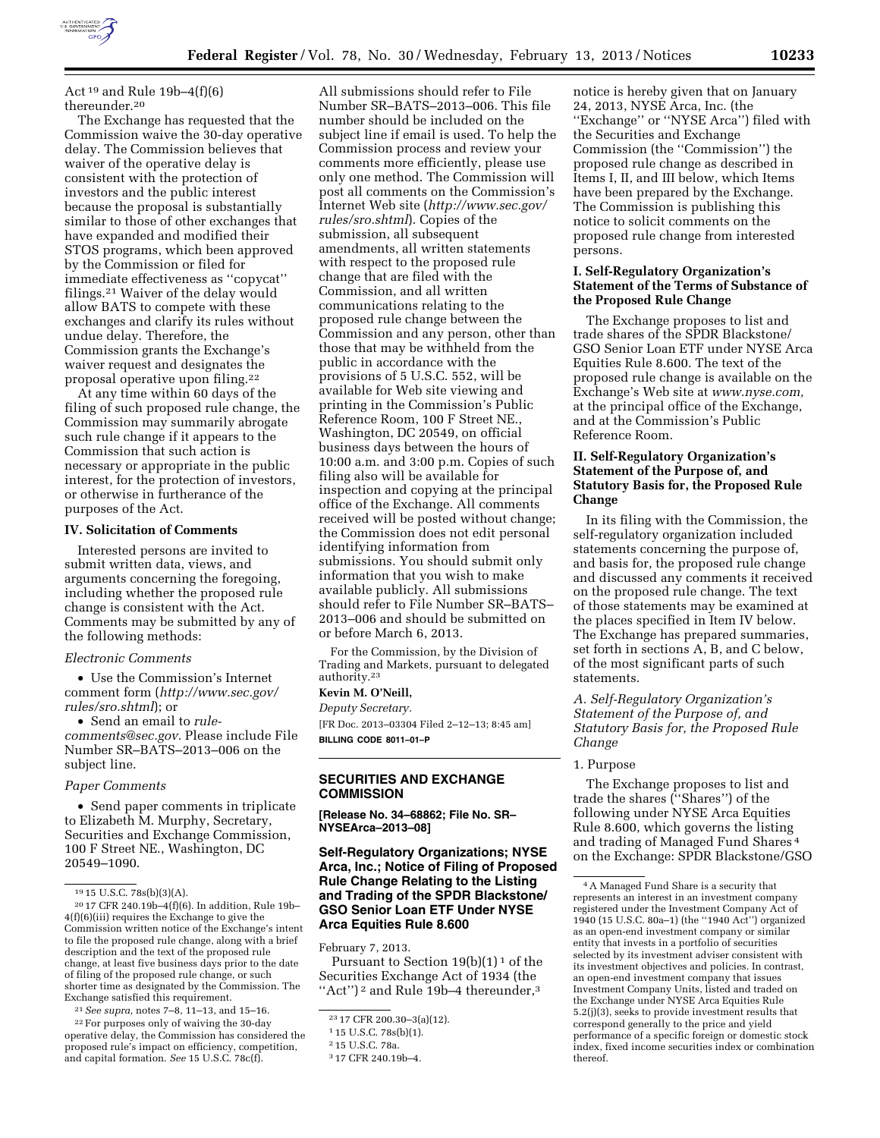

Act<sup>19</sup> and Rule 19b-4(f)(6) thereunder.20

The Exchange has requested that the Commission waive the 30-day operative delay. The Commission believes that waiver of the operative delay is consistent with the protection of investors and the public interest because the proposal is substantially similar to those of other exchanges that have expanded and modified their STOS programs, which been approved by the Commission or filed for immediate effectiveness as ''copycat'' filings.21 Waiver of the delay would allow BATS to compete with these exchanges and clarify its rules without undue delay. Therefore, the Commission grants the Exchange's waiver request and designates the proposal operative upon filing.22

At any time within 60 days of the filing of such proposed rule change, the Commission may summarily abrogate such rule change if it appears to the Commission that such action is necessary or appropriate in the public interest, for the protection of investors, or otherwise in furtherance of the purposes of the Act.

### **IV. Solicitation of Comments**

Interested persons are invited to submit written data, views, and arguments concerning the foregoing, including whether the proposed rule change is consistent with the Act. Comments may be submitted by any of the following methods:

## *Electronic Comments*

• Use the Commission's Internet comment form (*[http://www.sec.gov/](http://www.sec.gov/rules/sro.shtml)  [rules/sro.shtml](http://www.sec.gov/rules/sro.shtml)*); or

• Send an email to *[rule](mailto:rule-comments@sec.gov)[comments@sec.gov.](mailto:rule-comments@sec.gov)* Please include File Number SR–BATS–2013–006 on the subject line.

### *Paper Comments*

• Send paper comments in triplicate to Elizabeth M. Murphy, Secretary, Securities and Exchange Commission, 100 F Street NE., Washington, DC 20549–1090.

20 17 CFR 240.19b–4(f)(6). In addition, Rule 19b– 4(f)(6)(iii) requires the Exchange to give the Commission written notice of the Exchange's intent to file the proposed rule change, along with a brief description and the text of the proposed rule change, at least five business days prior to the date of filing of the proposed rule change, or such shorter time as designated by the Commission. The Exchange satisfied this requirement.

21*See supra,* notes 7–8, 11–13, and 15–16.

22For purposes only of waiving the 30-day operative delay, the Commission has considered the proposed rule's impact on efficiency, competition, and capital formation. *See* 15 U.S.C. 78c(f).

All submissions should refer to File Number SR–BATS–2013–006. This file number should be included on the subject line if email is used. To help the Commission process and review your comments more efficiently, please use only one method. The Commission will post all comments on the Commission's Internet Web site (*[http://www.sec.gov/](http://www.sec.gov/rules/sro.shtml)  [rules/sro.shtml](http://www.sec.gov/rules/sro.shtml)*). Copies of the submission, all subsequent amendments, all written statements with respect to the proposed rule change that are filed with the Commission, and all written communications relating to the proposed rule change between the Commission and any person, other than those that may be withheld from the public in accordance with the provisions of 5 U.S.C. 552, will be available for Web site viewing and printing in the Commission's Public Reference Room, 100 F Street NE., Washington, DC 20549, on official business days between the hours of 10:00 a.m. and 3:00 p.m. Copies of such filing also will be available for inspection and copying at the principal office of the Exchange. All comments received will be posted without change; the Commission does not edit personal identifying information from submissions. You should submit only information that you wish to make available publicly. All submissions should refer to File Number SR–BATS– 2013–006 and should be submitted on or before March 6, 2013.

For the Commission, by the Division of Trading and Markets, pursuant to delegated authority.23

## **Kevin M. O'Neill,**

*Deputy Secretary.*  [FR Doc. 2013–03304 Filed 2–12–13; 8:45 am] **BILLING CODE 8011–01–P** 

# **SECURITIES AND EXCHANGE COMMISSION**

**[Release No. 34–68862; File No. SR– NYSEArca–2013–08]** 

## **Self-Regulatory Organizations; NYSE Arca, Inc.; Notice of Filing of Proposed Rule Change Relating to the Listing and Trading of the SPDR Blackstone/ GSO Senior Loan ETF Under NYSE Arca Equities Rule 8.600**

February 7, 2013.

Pursuant to Section  $19(b)(1)^1$  of the Securities Exchange Act of 1934 (the "Act")<sup>2</sup> and Rule 19b–4 thereunder,<sup>3</sup>

notice is hereby given that on January 24, 2013, NYSE Arca, Inc. (the ''Exchange'' or ''NYSE Arca'') filed with the Securities and Exchange Commission (the ''Commission'') the proposed rule change as described in Items I, II, and III below, which Items have been prepared by the Exchange. The Commission is publishing this notice to solicit comments on the proposed rule change from interested persons.

## **I. Self-Regulatory Organization's Statement of the Terms of Substance of the Proposed Rule Change**

The Exchange proposes to list and trade shares of the SPDR Blackstone/ GSO Senior Loan ETF under NYSE Arca Equities Rule 8.600. The text of the proposed rule change is available on the Exchange's Web site at *[www.nyse.com,](http://www.nyse.com)*  at the principal office of the Exchange, and at the Commission's Public Reference Room.

# **II. Self-Regulatory Organization's Statement of the Purpose of, and Statutory Basis for, the Proposed Rule Change**

In its filing with the Commission, the self-regulatory organization included statements concerning the purpose of, and basis for, the proposed rule change and discussed any comments it received on the proposed rule change. The text of those statements may be examined at the places specified in Item IV below. The Exchange has prepared summaries, set forth in sections A, B, and C below, of the most significant parts of such statements.

## *A. Self-Regulatory Organization's Statement of the Purpose of, and Statutory Basis for, the Proposed Rule Change*

#### 1. Purpose

The Exchange proposes to list and trade the shares (''Shares'') of the following under NYSE Arca Equities Rule 8.600, which governs the listing and trading of Managed Fund Shares 4 on the Exchange: SPDR Blackstone/GSO

 $1915$  U.S.C. 78s(b)(3)(A).

<sup>23</sup> 17 CFR 200.30–3(a)(12).

<sup>1</sup> 15 U.S.C. 78s(b)(1).

<sup>2</sup> 15 U.S.C. 78a.

<sup>3</sup> 17 CFR 240.19b–4.

<sup>4</sup>A Managed Fund Share is a security that represents an interest in an investment company registered under the Investment Company Act of 1940 (15 U.S.C. 80a–1) (the ''1940 Act'') organized as an open-end investment company or similar entity that invests in a portfolio of securities selected by its investment adviser consistent with its investment objectives and policies. In contrast, an open-end investment company that issues Investment Company Units, listed and traded on the Exchange under NYSE Arca Equities Rule 5.2(j)(3), seeks to provide investment results that correspond generally to the price and yield performance of a specific foreign or domestic stock index, fixed income securities index or combination thereof.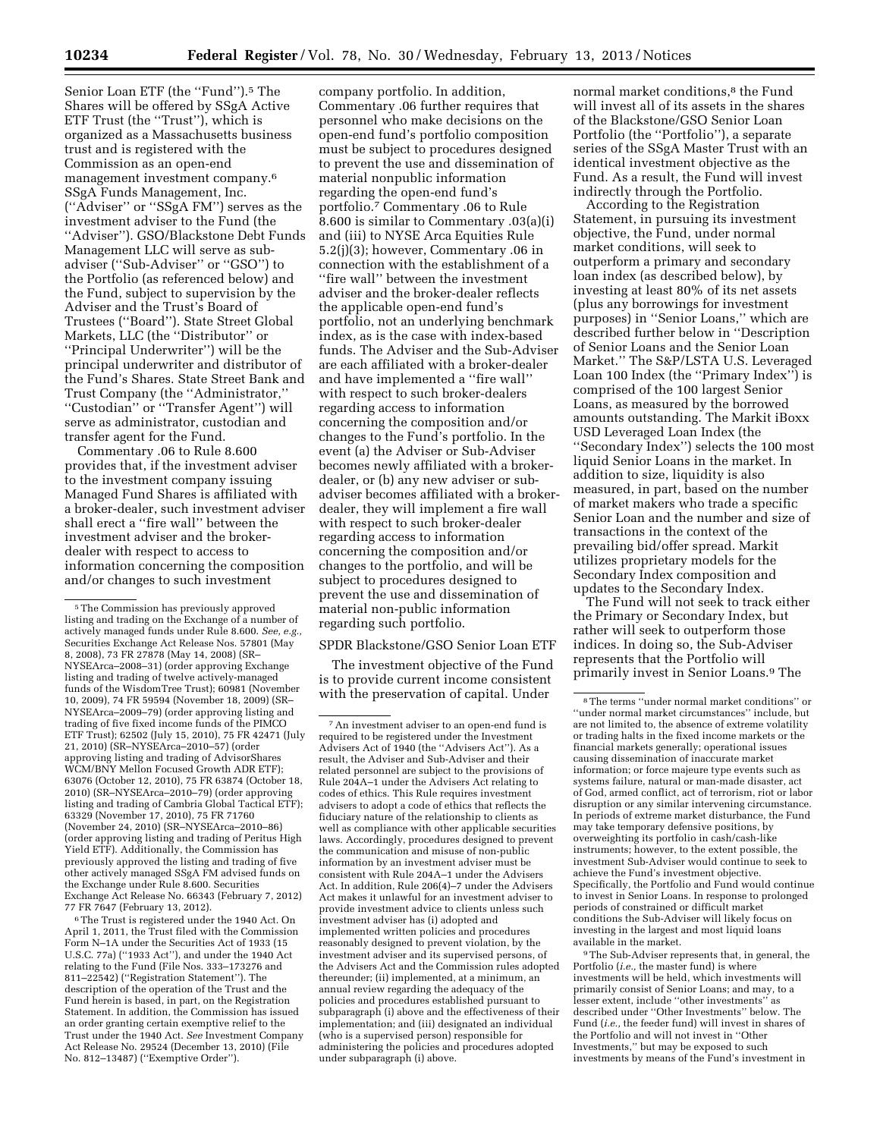Senior Loan ETF (the "Fund").<sup>5</sup> The Shares will be offered by SSgA Active ETF Trust (the ''Trust''), which is organized as a Massachusetts business trust and is registered with the Commission as an open-end management investment company.6 SSgA Funds Management, Inc. (''Adviser'' or ''SSgA FM'') serves as the investment adviser to the Fund (the ''Adviser''). GSO/Blackstone Debt Funds Management LLC will serve as subadviser (''Sub-Adviser'' or ''GSO'') to the Portfolio (as referenced below) and the Fund, subject to supervision by the Adviser and the Trust's Board of Trustees (''Board''). State Street Global Markets, LLC (the ''Distributor'' or ''Principal Underwriter'') will be the principal underwriter and distributor of the Fund's Shares. State Street Bank and Trust Company (the ''Administrator,'' ''Custodian'' or ''Transfer Agent'') will serve as administrator, custodian and transfer agent for the Fund.

Commentary .06 to Rule 8.600 provides that, if the investment adviser to the investment company issuing Managed Fund Shares is affiliated with a broker-dealer, such investment adviser shall erect a ''fire wall'' between the investment adviser and the brokerdealer with respect to access to information concerning the composition and/or changes to such investment

6The Trust is registered under the 1940 Act. On April 1, 2011, the Trust filed with the Commission Form N–1A under the Securities Act of 1933 (15 U.S.C. 77a) (''1933 Act''), and under the 1940 Act relating to the Fund (File Nos. 333–173276 and 811–22542) (''Registration Statement''). The description of the operation of the Trust and the Fund herein is based, in part, on the Registration Statement. In addition, the Commission has issued an order granting certain exemptive relief to the Trust under the 1940 Act. *See* Investment Company Act Release No. 29524 (December 13, 2010) (File No. 812–13487) (''Exemptive Order'').

company portfolio. In addition, Commentary .06 further requires that personnel who make decisions on the open-end fund's portfolio composition must be subject to procedures designed to prevent the use and dissemination of material nonpublic information regarding the open-end fund's portfolio.7 Commentary .06 to Rule 8.600 is similar to Commentary .03(a)(i) and (iii) to NYSE Arca Equities Rule 5.2(j)(3); however, Commentary .06 in connection with the establishment of a ''fire wall'' between the investment adviser and the broker-dealer reflects the applicable open-end fund's portfolio, not an underlying benchmark index, as is the case with index-based funds. The Adviser and the Sub-Adviser are each affiliated with a broker-dealer and have implemented a ''fire wall'' with respect to such broker-dealers regarding access to information concerning the composition and/or changes to the Fund's portfolio. In the event (a) the Adviser or Sub-Adviser becomes newly affiliated with a brokerdealer, or (b) any new adviser or subadviser becomes affiliated with a brokerdealer, they will implement a fire wall with respect to such broker-dealer regarding access to information concerning the composition and/or changes to the portfolio, and will be subject to procedures designed to prevent the use and dissemination of material non-public information regarding such portfolio.

### SPDR Blackstone/GSO Senior Loan ETF

The investment objective of the Fund is to provide current income consistent with the preservation of capital. Under

normal market conditions.<sup>8</sup> the Fund will invest all of its assets in the shares of the Blackstone/GSO Senior Loan Portfolio (the ''Portfolio''), a separate series of the SSgA Master Trust with an identical investment objective as the Fund. As a result, the Fund will invest indirectly through the Portfolio.

According to the Registration Statement, in pursuing its investment objective, the Fund, under normal market conditions, will seek to outperform a primary and secondary loan index (as described below), by investing at least 80% of its net assets (plus any borrowings for investment purposes) in ''Senior Loans,'' which are described further below in ''Description of Senior Loans and the Senior Loan Market.'' The S&P/LSTA U.S. Leveraged Loan 100 Index (the ''Primary Index'') is comprised of the 100 largest Senior Loans, as measured by the borrowed amounts outstanding. The Markit iBoxx USD Leveraged Loan Index (the ''Secondary Index'') selects the 100 most liquid Senior Loans in the market. In addition to size, liquidity is also measured, in part, based on the number of market makers who trade a specific Senior Loan and the number and size of transactions in the context of the prevailing bid/offer spread. Markit utilizes proprietary models for the Secondary Index composition and updates to the Secondary Index.

The Fund will not seek to track either the Primary or Secondary Index, but rather will seek to outperform those indices. In doing so, the Sub-Adviser represents that the Portfolio will primarily invest in Senior Loans.9 The

9The Sub-Adviser represents that, in general, the Portfolio (*i.e.,* the master fund) is where investments will be held, which investments will primarily consist of Senior Loans; and may, to a lesser extent, include ''other investments'' as described under ''Other Investments'' below. The Fund (*i.e.,* the feeder fund) will invest in shares of the Portfolio and will not invest in ''Other Investments,'' but may be exposed to such investments by means of the Fund's investment in

<sup>5</sup>The Commission has previously approved listing and trading on the Exchange of a number of actively managed funds under Rule 8.600. *See, e.g.,*  Securities Exchange Act Release Nos. 57801 (May 8, 2008), 73 FR 27878 (May 14, 2008) (SR– NYSEArca–2008–31) (order approving Exchange listing and trading of twelve actively-managed funds of the WisdomTree Trust); 60981 (November 10, 2009), 74 FR 59594 (November 18, 2009) (SR– NYSEArca–2009–79) (order approving listing and trading of five fixed income funds of the PIMCO ETF Trust); 62502 (July 15, 2010), 75 FR 42471 (July 21, 2010) (SR–NYSEArca–2010–57) (order approving listing and trading of AdvisorShares WCM/BNY Mellon Focused Growth ADR ETF); 63076 (October 12, 2010), 75 FR 63874 (October 18, 2010) (SR–NYSEArca–2010–79) (order approving listing and trading of Cambria Global Tactical ETF); 63329 (November 17, 2010), 75 FR 71760 (November 24, 2010) (SR–NYSEArca–2010–86) (order approving listing and trading of Peritus High Yield ETF). Additionally, the Commission has previously approved the listing and trading of five other actively managed SSgA FM advised funds on the Exchange under Rule 8.600. Securities Exchange Act Release No. 66343 (February 7, 2012) 77 FR 7647 (February 13, 2012).

<sup>7</sup>An investment adviser to an open-end fund is required to be registered under the Investment Advisers Act of 1940 (the ''Advisers Act''). As a result, the Adviser and Sub-Adviser and their related personnel are subject to the provisions of Rule 204A–1 under the Advisers Act relating to codes of ethics. This Rule requires investment advisers to adopt a code of ethics that reflects the fiduciary nature of the relationship to clients as well as compliance with other applicable securities laws. Accordingly, procedures designed to prevent the communication and misuse of non-public information by an investment adviser must be consistent with Rule 204A–1 under the Advisers Act. In addition, Rule 206(4)–7 under the Advisers Act makes it unlawful for an investment adviser to provide investment advice to clients unless such investment adviser has (i) adopted and implemented written policies and procedures reasonably designed to prevent violation, by the investment adviser and its supervised persons, of the Advisers Act and the Commission rules adopted thereunder; (ii) implemented, at a minimum, an annual review regarding the adequacy of the policies and procedures established pursuant to subparagraph (i) above and the effectiveness of their implementation; and (iii) designated an individual (who is a supervised person) responsible for administering the policies and procedures adopted under subparagraph (i) above.

<sup>8</sup>The terms ''under normal market conditions'' or ''under normal market circumstances'' include, but are not limited to, the absence of extreme volatility or trading halts in the fixed income markets or the financial markets generally; operational issues causing dissemination of inaccurate market information; or force majeure type events such as systems failure, natural or man-made disaster, act of God, armed conflict, act of terrorism, riot or labor disruption or any similar intervening circumstance. In periods of extreme market disturbance, the Fund may take temporary defensive positions, by overweighting its portfolio in cash/cash-like instruments; however, to the extent possible, the investment Sub-Adviser would continue to seek to achieve the Fund's investment objective. Specifically, the Portfolio and Fund would continue to invest in Senior Loans. In response to prolonged periods of constrained or difficult market conditions the Sub-Adviser will likely focus on investing in the largest and most liquid loans available in the market.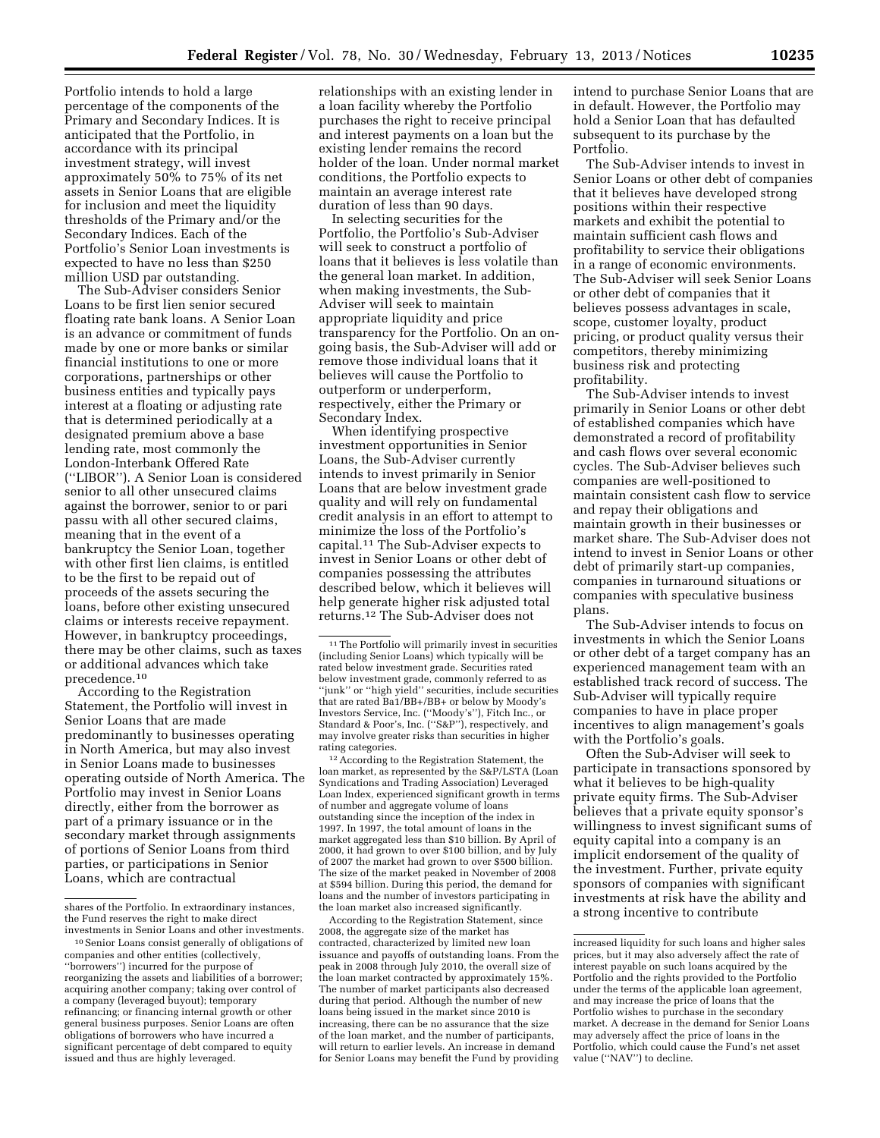Portfolio intends to hold a large percentage of the components of the Primary and Secondary Indices. It is anticipated that the Portfolio, in accordance with its principal investment strategy, will invest approximately 50% to 75% of its net assets in Senior Loans that are eligible for inclusion and meet the liquidity thresholds of the Primary and/or the Secondary Indices. Each of the Portfolio's Senior Loan investments is expected to have no less than \$250 million USD par outstanding.

The Sub-Adviser considers Senior Loans to be first lien senior secured floating rate bank loans. A Senior Loan is an advance or commitment of funds made by one or more banks or similar financial institutions to one or more corporations, partnerships or other business entities and typically pays interest at a floating or adjusting rate that is determined periodically at a designated premium above a base lending rate, most commonly the London-Interbank Offered Rate (''LIBOR''). A Senior Loan is considered senior to all other unsecured claims against the borrower, senior to or pari passu with all other secured claims, meaning that in the event of a bankruptcy the Senior Loan, together with other first lien claims, is entitled to be the first to be repaid out of proceeds of the assets securing the loans, before other existing unsecured claims or interests receive repayment. However, in bankruptcy proceedings, there may be other claims, such as taxes or additional advances which take precedence.10

According to the Registration Statement, the Portfolio will invest in Senior Loans that are made predominantly to businesses operating in North America, but may also invest in Senior Loans made to businesses operating outside of North America. The Portfolio may invest in Senior Loans directly, either from the borrower as part of a primary issuance or in the secondary market through assignments of portions of Senior Loans from third parties, or participations in Senior Loans, which are contractual

relationships with an existing lender in a loan facility whereby the Portfolio purchases the right to receive principal and interest payments on a loan but the existing lender remains the record holder of the loan. Under normal market conditions, the Portfolio expects to maintain an average interest rate duration of less than 90 days.

In selecting securities for the Portfolio, the Portfolio's Sub-Adviser will seek to construct a portfolio of loans that it believes is less volatile than the general loan market. In addition, when making investments, the Sub-Adviser will seek to maintain appropriate liquidity and price transparency for the Portfolio. On an ongoing basis, the Sub-Adviser will add or remove those individual loans that it believes will cause the Portfolio to outperform or underperform, respectively, either the Primary or Secondary Index.

When identifying prospective investment opportunities in Senior Loans, the Sub-Adviser currently intends to invest primarily in Senior Loans that are below investment grade quality and will rely on fundamental credit analysis in an effort to attempt to minimize the loss of the Portfolio's capital.11 The Sub-Adviser expects to invest in Senior Loans or other debt of companies possessing the attributes described below, which it believes will help generate higher risk adjusted total returns.12 The Sub-Adviser does not

12According to the Registration Statement, the loan market, as represented by the S&P/LSTA (Loan Syndications and Trading Association) Leveraged Loan Index, experienced significant growth in terms of number and aggregate volume of loans outstanding since the inception of the index in 1997. In 1997, the total amount of loans in the market aggregated less than \$10 billion. By April of 2000, it had grown to over \$100 billion, and by July of 2007 the market had grown to over \$500 billion. The size of the market peaked in November of 2008 at \$594 billion. During this period, the demand for loans and the number of investors participating in the loan market also increased significantly.

According to the Registration Statement, since 2008, the aggregate size of the market has contracted, characterized by limited new loan issuance and payoffs of outstanding loans. From the peak in 2008 through July 2010, the overall size of the loan market contracted by approximately 15%. The number of market participants also decreased during that period. Although the number of new loans being issued in the market since 2010 is increasing, there can be no assurance that the size of the loan market, and the number of participants, will return to earlier levels. An increase in demand for Senior Loans may benefit the Fund by providing

intend to purchase Senior Loans that are in default. However, the Portfolio may hold a Senior Loan that has defaulted subsequent to its purchase by the Portfolio.

The Sub-Adviser intends to invest in Senior Loans or other debt of companies that it believes have developed strong positions within their respective markets and exhibit the potential to maintain sufficient cash flows and profitability to service their obligations in a range of economic environments. The Sub-Adviser will seek Senior Loans or other debt of companies that it believes possess advantages in scale, scope, customer loyalty, product pricing, or product quality versus their competitors, thereby minimizing business risk and protecting profitability.

The Sub-Adviser intends to invest primarily in Senior Loans or other debt of established companies which have demonstrated a record of profitability and cash flows over several economic cycles. The Sub-Adviser believes such companies are well-positioned to maintain consistent cash flow to service and repay their obligations and maintain growth in their businesses or market share. The Sub-Adviser does not intend to invest in Senior Loans or other debt of primarily start-up companies, companies in turnaround situations or companies with speculative business plans.

The Sub-Adviser intends to focus on investments in which the Senior Loans or other debt of a target company has an experienced management team with an established track record of success. The Sub-Adviser will typically require companies to have in place proper incentives to align management's goals with the Portfolio's goals.

Often the Sub-Adviser will seek to participate in transactions sponsored by what it believes to be high-quality private equity firms. The Sub-Adviser believes that a private equity sponsor's willingness to invest significant sums of equity capital into a company is an implicit endorsement of the quality of the investment. Further, private equity sponsors of companies with significant investments at risk have the ability and a strong incentive to contribute

shares of the Portfolio. In extraordinary instances, the Fund reserves the right to make direct investments in Senior Loans and other investments.

<sup>10</sup>Senior Loans consist generally of obligations of companies and other entities (collectively, ''borrowers'') incurred for the purpose of reorganizing the assets and liabilities of a borrower; acquiring another company; taking over control of a company (leveraged buyout); temporary refinancing; or financing internal growth or other general business purposes. Senior Loans are often obligations of borrowers who have incurred a significant percentage of debt compared to equity issued and thus are highly leveraged.

<sup>11</sup>The Portfolio will primarily invest in securities (including Senior Loans) which typically will be rated below investment grade. Securities rated below investment grade, commonly referred to as ''junk'' or ''high yield'' securities, include securities that are rated Ba1/BB+/BB+ or below by Moody's Investors Service, Inc. (''Moody's''), Fitch Inc., or Standard & Poor's, Inc. (''S&P''), respectively, and may involve greater risks than securities in higher rating categories.

increased liquidity for such loans and higher sales prices, but it may also adversely affect the rate of interest payable on such loans acquired by the Portfolio and the rights provided to the Portfolio under the terms of the applicable loan agreement, and may increase the price of loans that the Portfolio wishes to purchase in the secondary market. A decrease in the demand for Senior Loans may adversely affect the price of loans in the Portfolio, which could cause the Fund's net asset value (''NAV'') to decline.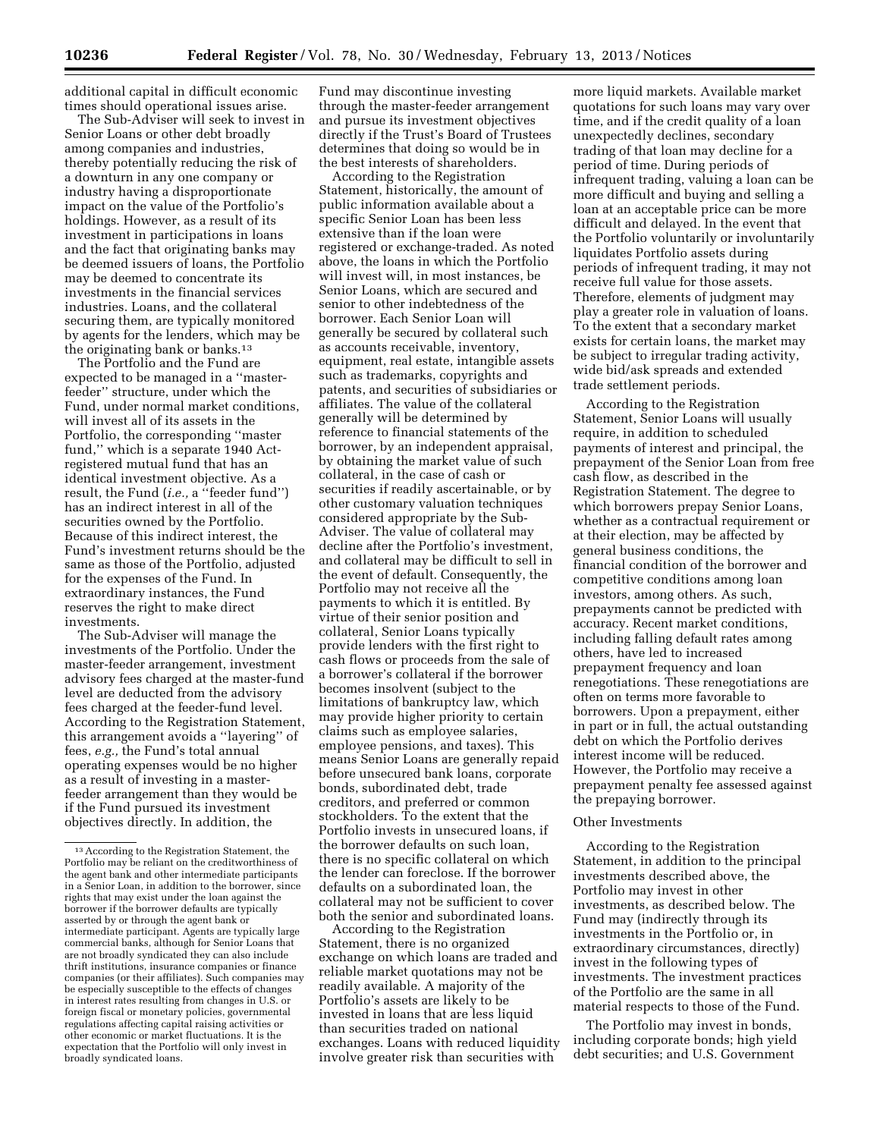additional capital in difficult economic times should operational issues arise.

The Sub-Adviser will seek to invest in Senior Loans or other debt broadly among companies and industries, thereby potentially reducing the risk of a downturn in any one company or industry having a disproportionate impact on the value of the Portfolio's holdings. However, as a result of its investment in participations in loans and the fact that originating banks may be deemed issuers of loans, the Portfolio may be deemed to concentrate its investments in the financial services industries. Loans, and the collateral securing them, are typically monitored by agents for the lenders, which may be the originating bank or banks.13

The Portfolio and the Fund are expected to be managed in a ''masterfeeder'' structure, under which the Fund, under normal market conditions, will invest all of its assets in the Portfolio, the corresponding ''master fund,'' which is a separate 1940 Actregistered mutual fund that has an identical investment objective. As a result, the Fund (*i.e.,* a ''feeder fund'') has an indirect interest in all of the securities owned by the Portfolio. Because of this indirect interest, the Fund's investment returns should be the same as those of the Portfolio, adjusted for the expenses of the Fund. In extraordinary instances, the Fund reserves the right to make direct investments.

The Sub-Adviser will manage the investments of the Portfolio. Under the master-feeder arrangement, investment advisory fees charged at the master-fund level are deducted from the advisory fees charged at the feeder-fund level. According to the Registration Statement, this arrangement avoids a ''layering'' of fees, *e.g.,* the Fund's total annual operating expenses would be no higher as a result of investing in a masterfeeder arrangement than they would be if the Fund pursued its investment objectives directly. In addition, the

Fund may discontinue investing through the master-feeder arrangement and pursue its investment objectives directly if the Trust's Board of Trustees determines that doing so would be in the best interests of shareholders.

According to the Registration Statement, historically, the amount of public information available about a specific Senior Loan has been less extensive than if the loan were registered or exchange-traded. As noted above, the loans in which the Portfolio will invest will, in most instances, be Senior Loans, which are secured and senior to other indebtedness of the borrower. Each Senior Loan will generally be secured by collateral such as accounts receivable, inventory, equipment, real estate, intangible assets such as trademarks, copyrights and patents, and securities of subsidiaries or affiliates. The value of the collateral generally will be determined by reference to financial statements of the borrower, by an independent appraisal, by obtaining the market value of such collateral, in the case of cash or securities if readily ascertainable, or by other customary valuation techniques considered appropriate by the Sub-Adviser. The value of collateral may decline after the Portfolio's investment, and collateral may be difficult to sell in the event of default. Consequently, the Portfolio may not receive all the payments to which it is entitled. By virtue of their senior position and collateral, Senior Loans typically provide lenders with the first right to cash flows or proceeds from the sale of a borrower's collateral if the borrower becomes insolvent (subject to the limitations of bankruptcy law, which may provide higher priority to certain claims such as employee salaries, employee pensions, and taxes). This means Senior Loans are generally repaid before unsecured bank loans, corporate bonds, subordinated debt, trade creditors, and preferred or common stockholders. To the extent that the Portfolio invests in unsecured loans, if the borrower defaults on such loan, there is no specific collateral on which the lender can foreclose. If the borrower defaults on a subordinated loan, the collateral may not be sufficient to cover both the senior and subordinated loans.

According to the Registration Statement, there is no organized exchange on which loans are traded and reliable market quotations may not be readily available. A majority of the Portfolio's assets are likely to be invested in loans that are less liquid than securities traded on national exchanges. Loans with reduced liquidity involve greater risk than securities with

more liquid markets. Available market quotations for such loans may vary over time, and if the credit quality of a loan unexpectedly declines, secondary trading of that loan may decline for a period of time. During periods of infrequent trading, valuing a loan can be more difficult and buying and selling a loan at an acceptable price can be more difficult and delayed. In the event that the Portfolio voluntarily or involuntarily liquidates Portfolio assets during periods of infrequent trading, it may not receive full value for those assets. Therefore, elements of judgment may play a greater role in valuation of loans. To the extent that a secondary market exists for certain loans, the market may be subject to irregular trading activity, wide bid/ask spreads and extended trade settlement periods.

According to the Registration Statement, Senior Loans will usually require, in addition to scheduled payments of interest and principal, the prepayment of the Senior Loan from free cash flow, as described in the Registration Statement. The degree to which borrowers prepay Senior Loans, whether as a contractual requirement or at their election, may be affected by general business conditions, the financial condition of the borrower and competitive conditions among loan investors, among others. As such, prepayments cannot be predicted with accuracy. Recent market conditions, including falling default rates among others, have led to increased prepayment frequency and loan renegotiations. These renegotiations are often on terms more favorable to borrowers. Upon a prepayment, either in part or in full, the actual outstanding debt on which the Portfolio derives interest income will be reduced. However, the Portfolio may receive a prepayment penalty fee assessed against the prepaying borrower.

### Other Investments

According to the Registration Statement, in addition to the principal investments described above, the Portfolio may invest in other investments, as described below. The Fund may (indirectly through its investments in the Portfolio or, in extraordinary circumstances, directly) invest in the following types of investments. The investment practices of the Portfolio are the same in all material respects to those of the Fund.

The Portfolio may invest in bonds, including corporate bonds; high yield debt securities; and U.S. Government

<sup>13</sup>According to the Registration Statement, the Portfolio may be reliant on the creditworthiness of the agent bank and other intermediate participants in a Senior Loan, in addition to the borrower, since rights that may exist under the loan against the borrower if the borrower defaults are typically asserted by or through the agent bank or intermediate participant. Agents are typically large commercial banks, although for Senior Loans that are not broadly syndicated they can also include thrift institutions, insurance companies or finance companies (or their affiliates). Such companies may be especially susceptible to the effects of changes in interest rates resulting from changes in U.S. or foreign fiscal or monetary policies, governmental regulations affecting capital raising activities or other economic or market fluctuations. It is the expectation that the Portfolio will only invest in broadly syndicated loans.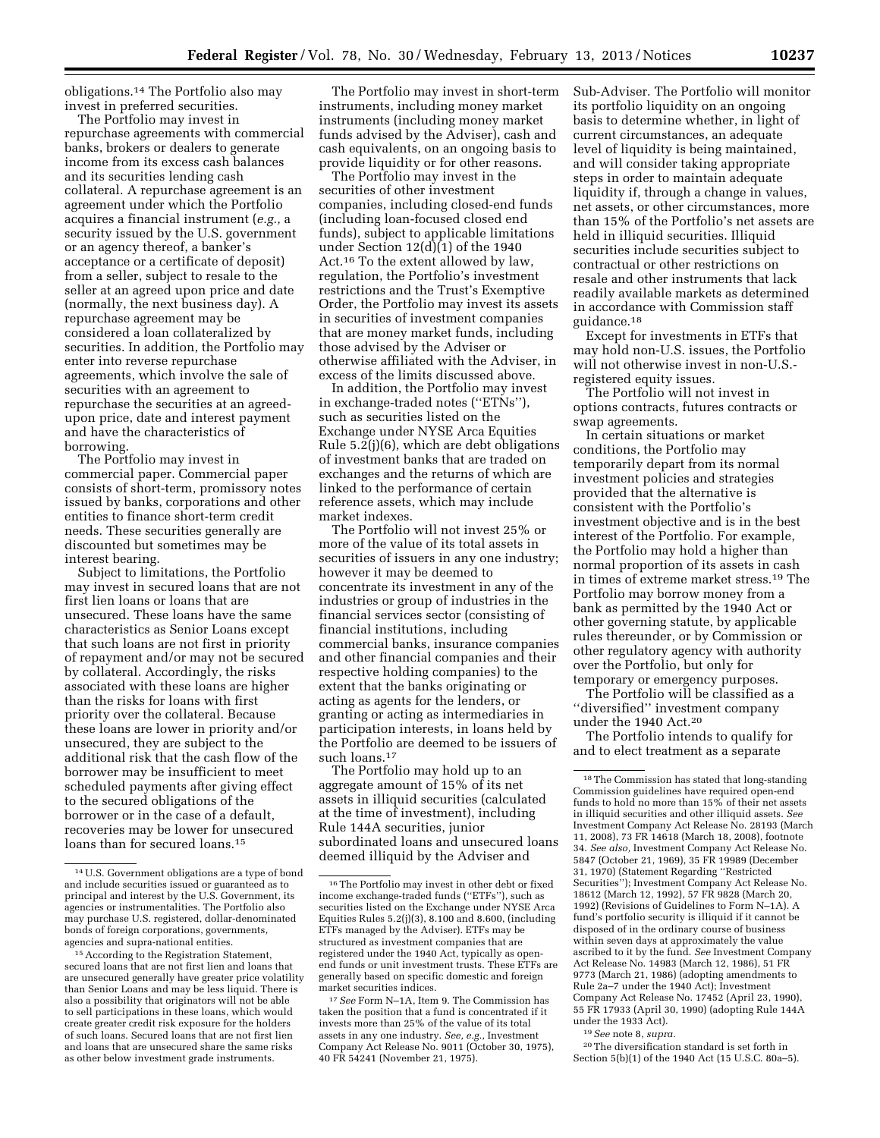obligations.14 The Portfolio also may invest in preferred securities.

The Portfolio may invest in repurchase agreements with commercial banks, brokers or dealers to generate income from its excess cash balances and its securities lending cash collateral. A repurchase agreement is an agreement under which the Portfolio acquires a financial instrument (*e.g.,* a security issued by the U.S. government or an agency thereof, a banker's acceptance or a certificate of deposit) from a seller, subject to resale to the seller at an agreed upon price and date (normally, the next business day). A repurchase agreement may be considered a loan collateralized by securities. In addition, the Portfolio may enter into reverse repurchase agreements, which involve the sale of securities with an agreement to repurchase the securities at an agreedupon price, date and interest payment and have the characteristics of borrowing.

The Portfolio may invest in commercial paper. Commercial paper consists of short-term, promissory notes issued by banks, corporations and other entities to finance short-term credit needs. These securities generally are discounted but sometimes may be interest bearing.

Subject to limitations, the Portfolio may invest in secured loans that are not first lien loans or loans that are unsecured. These loans have the same characteristics as Senior Loans except that such loans are not first in priority of repayment and/or may not be secured by collateral. Accordingly, the risks associated with these loans are higher than the risks for loans with first priority over the collateral. Because these loans are lower in priority and/or unsecured, they are subject to the additional risk that the cash flow of the borrower may be insufficient to meet scheduled payments after giving effect to the secured obligations of the borrower or in the case of a default, recoveries may be lower for unsecured loans than for secured loans.15

The Portfolio may invest in short-term instruments, including money market instruments (including money market funds advised by the Adviser), cash and cash equivalents, on an ongoing basis to provide liquidity or for other reasons.

The Portfolio may invest in the securities of other investment companies, including closed-end funds (including loan-focused closed end funds), subject to applicable limitations under Section  $12\left(\frac{d}{1}\right)$  of the 1940 Act.16 To the extent allowed by law, regulation, the Portfolio's investment restrictions and the Trust's Exemptive Order, the Portfolio may invest its assets in securities of investment companies that are money market funds, including those advised by the Adviser or otherwise affiliated with the Adviser, in excess of the limits discussed above.

In addition, the Portfolio may invest in exchange-traded notes (''ETNs''), such as securities listed on the Exchange under NYSE Arca Equities Rule 5.2(j)(6), which are debt obligations of investment banks that are traded on exchanges and the returns of which are linked to the performance of certain reference assets, which may include market indexes.

The Portfolio will not invest 25% or more of the value of its total assets in securities of issuers in any one industry; however it may be deemed to concentrate its investment in any of the industries or group of industries in the financial services sector (consisting of financial institutions, including commercial banks, insurance companies and other financial companies and their respective holding companies) to the extent that the banks originating or acting as agents for the lenders, or granting or acting as intermediaries in participation interests, in loans held by the Portfolio are deemed to be issuers of such loans.<sup>17</sup>

The Portfolio may hold up to an aggregate amount of 15% of its net assets in illiquid securities (calculated at the time of investment), including Rule 144A securities, junior subordinated loans and unsecured loans deemed illiquid by the Adviser and

Sub-Adviser. The Portfolio will monitor its portfolio liquidity on an ongoing basis to determine whether, in light of current circumstances, an adequate level of liquidity is being maintained, and will consider taking appropriate steps in order to maintain adequate liquidity if, through a change in values, net assets, or other circumstances, more than 15% of the Portfolio's net assets are held in illiquid securities. Illiquid securities include securities subject to contractual or other restrictions on resale and other instruments that lack readily available markets as determined in accordance with Commission staff guidance.18

Except for investments in ETFs that may hold non-U.S. issues, the Portfolio will not otherwise invest in non-U.S. registered equity issues.

The Portfolio will not invest in options contracts, futures contracts or swap agreements.

In certain situations or market conditions, the Portfolio may temporarily depart from its normal investment policies and strategies provided that the alternative is consistent with the Portfolio's investment objective and is in the best interest of the Portfolio. For example, the Portfolio may hold a higher than normal proportion of its assets in cash in times of extreme market stress.19 The Portfolio may borrow money from a bank as permitted by the 1940 Act or other governing statute, by applicable rules thereunder, or by Commission or other regulatory agency with authority over the Portfolio, but only for temporary or emergency purposes.

The Portfolio will be classified as a ''diversified'' investment company under the 1940 Act.20

The Portfolio intends to qualify for and to elect treatment as a separate

19*See* note 8, *supra.* 

 $^{\rm 20}\rm{The}$  diversification standard is set forth in Section 5(b)(1) of the 1940 Act (15 U.S.C. 80a–5).

<sup>14</sup>U.S. Government obligations are a type of bond and include securities issued or guaranteed as to principal and interest by the U.S. Government, its agencies or instrumentalities. The Portfolio also may purchase U.S. registered, dollar-denominated bonds of foreign corporations, governments, agencies and supra-national entities.

<sup>15</sup>According to the Registration Statement, secured loans that are not first lien and loans that are unsecured generally have greater price volatility than Senior Loans and may be less liquid. There is also a possibility that originators will not be able to sell participations in these loans, which would create greater credit risk exposure for the holders of such loans. Secured loans that are not first lien and loans that are unsecured share the same risks as other below investment grade instruments.

<sup>16</sup>The Portfolio may invest in other debt or fixed income exchange-traded funds (''ETFs''), such as securities listed on the Exchange under NYSE Arca Equities Rules 5.2(j)(3), 8.100 and 8.600, (including ETFs managed by the Adviser). ETFs may be structured as investment companies that are registered under the 1940 Act, typically as openend funds or unit investment trusts. These ETFs are generally based on specific domestic and foreign market securities indices.

<sup>17</sup>*See* Form N–1A, Item 9. The Commission has taken the position that a fund is concentrated if it invests more than 25% of the value of its total assets in any one industry. *See, e.g.,* Investment Company Act Release No. 9011 (October 30, 1975), 40 FR 54241 (November 21, 1975).

<sup>18</sup>The Commission has stated that long-standing Commission guidelines have required open-end funds to hold no more than 15% of their net assets in illiquid securities and other illiquid assets. *See*  Investment Company Act Release No. 28193 (March 11, 2008), 73 FR 14618 (March 18, 2008), footnote 34. *See also,* Investment Company Act Release No. 5847 (October 21, 1969), 35 FR 19989 (December 31, 1970) (Statement Regarding ''Restricted Securities''); Investment Company Act Release No. 18612 (March 12, 1992), 57 FR 9828 (March 20, 1992) (Revisions of Guidelines to Form N–1A). A fund's portfolio security is illiquid if it cannot be disposed of in the ordinary course of business within seven days at approximately the value ascribed to it by the fund. *See* Investment Company Act Release No. 14983 (March 12, 1986), 51 FR 9773 (March 21, 1986) (adopting amendments to Rule 2a–7 under the 1940 Act); Investment Company Act Release No. 17452 (April 23, 1990), 55 FR 17933 (April 30, 1990) (adopting Rule 144A under the 1933 Act).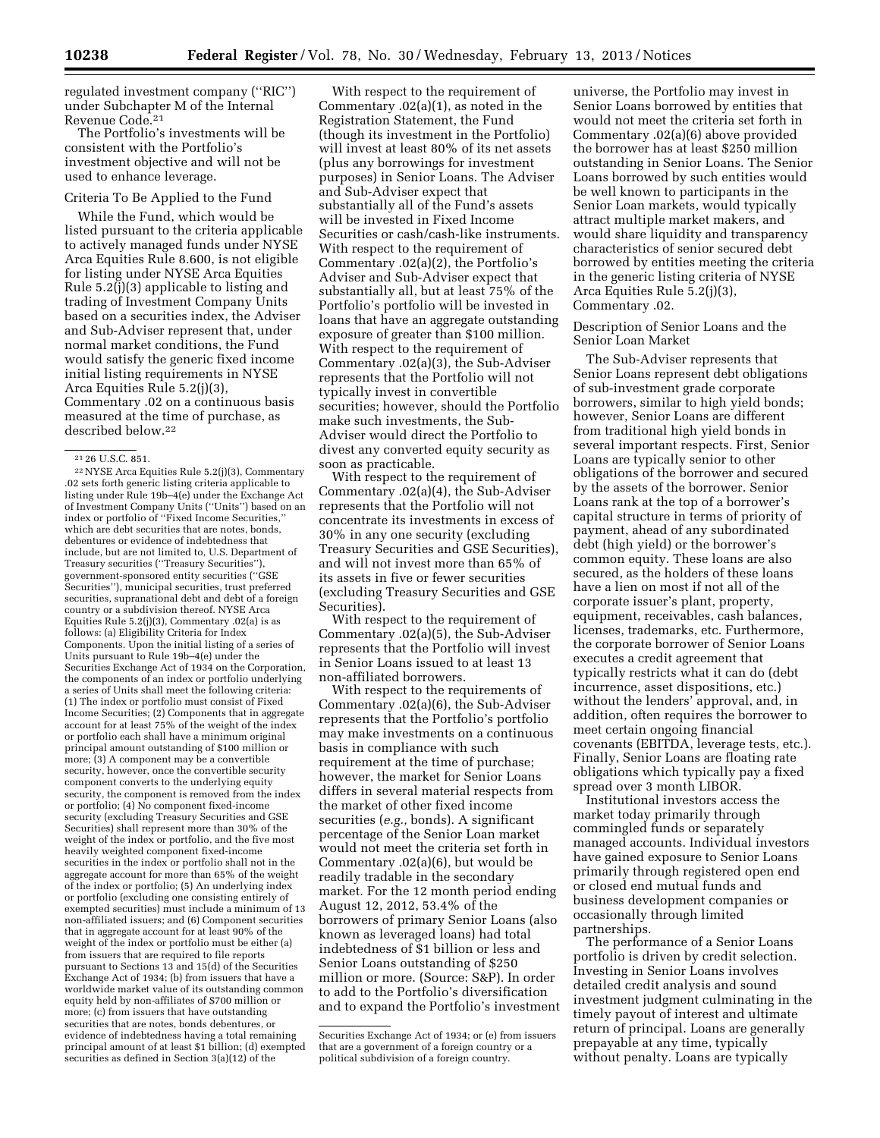regulated investment company (''RIC'') under Subchapter M of the Internal Revenue Code.21

The Portfolio's investments will be consistent with the Portfolio's investment objective and will not be used to enhance leverage.

### Criteria To Be Applied to the Fund

While the Fund, which would be listed pursuant to the criteria applicable to actively managed funds under NYSE Arca Equities Rule 8.600, is not eligible for listing under NYSE Arca Equities Rule 5.2(j)(3) applicable to listing and trading of Investment Company Units based on a securities index, the Adviser and Sub-Adviser represent that, under normal market conditions, the Fund would satisfy the generic fixed income initial listing requirements in NYSE Arca Equities Rule 5.2(j)(3), Commentary .02 on a continuous basis measured at the time of purchase, as described below.22

22NYSE Arca Equities Rule 5.2(j)(3), Commentary .02 sets forth generic listing criteria applicable to listing under Rule 19b–4(e) under the Exchange Act of Investment Company Units (''Units'') based on an index or portfolio of ''Fixed Income Securities,'' which are debt securities that are notes, bonds, debentures or evidence of indebtedness that include, but are not limited to, U.S. Department of Treasury securities (''Treasury Securities''), government-sponsored entity securities (''GSE Securities''), municipal securities, trust preferred securities, supranational debt and debt of a foreign country or a subdivision thereof. NYSE Arca Equities Rule 5.2(j)(3), Commentary .02(a) is as follows: (a) Eligibility Criteria for Index Components. Upon the initial listing of a series of Units pursuant to Rule 19b–4(e) under the Securities Exchange Act of 1934 on the Corporation, the components of an index or portfolio underlying a series of Units shall meet the following criteria: (1) The index or portfolio must consist of Fixed Income Securities; (2) Components that in aggregate account for at least 75% of the weight of the index or portfolio each shall have a minimum original principal amount outstanding of \$100 million or more; (3) A component may be a convertible security, however, once the convertible security component converts to the underlying equity security, the component is removed from the index or portfolio; (4) No component fixed-income security (excluding Treasury Securities and GSE Securities) shall represent more than 30% of the weight of the index or portfolio, and the five most heavily weighted component fixed-income securities in the index or portfolio shall not in the aggregate account for more than 65% of the weight of the index or portfolio; (5) An underlying index or portfolio (excluding one consisting entirely of exempted securities) must include a minimum of 13 non-affiliated issuers; and (6) Component securities that in aggregate account for at least 90% of the weight of the index or portfolio must be either (a) from issuers that are required to file reports pursuant to Sections 13 and 15(d) of the Securities Exchange Act of 1934; (b) from issuers that have a worldwide market value of its outstanding common equity held by non-affiliates of \$700 million or more; (c) from issuers that have outstanding securities that are notes, bonds debentures, or evidence of indebtedness having a total remaining principal amount of at least \$1 billion; (d) exempted securities as defined in Section 3(a)(12) of the

With respect to the requirement of Commentary .02(a)(1), as noted in the Registration Statement, the Fund (though its investment in the Portfolio) will invest at least 80% of its net assets (plus any borrowings for investment purposes) in Senior Loans. The Adviser and Sub-Adviser expect that substantially all of the Fund's assets will be invested in Fixed Income Securities or cash/cash-like instruments. With respect to the requirement of Commentary .02(a)(2), the Portfolio's Adviser and Sub-Adviser expect that substantially all, but at least 75% of the Portfolio's portfolio will be invested in loans that have an aggregate outstanding exposure of greater than \$100 million. With respect to the requirement of Commentary .02(a)(3), the Sub-Adviser represents that the Portfolio will not typically invest in convertible securities; however, should the Portfolio make such investments, the Sub-Adviser would direct the Portfolio to divest any converted equity security as soon as practicable.

With respect to the requirement of Commentary .02(a)(4), the Sub-Adviser represents that the Portfolio will not concentrate its investments in excess of 30% in any one security (excluding Treasury Securities and GSE Securities), and will not invest more than 65% of its assets in five or fewer securities (excluding Treasury Securities and GSE Securities).

With respect to the requirement of Commentary .02(a)(5), the Sub-Adviser represents that the Portfolio will invest in Senior Loans issued to at least 13 non-affiliated borrowers.

With respect to the requirements of Commentary .02(a)(6), the Sub-Adviser represents that the Portfolio's portfolio may make investments on a continuous basis in compliance with such requirement at the time of purchase; however, the market for Senior Loans differs in several material respects from the market of other fixed income securities (*e.g.,* bonds). A significant percentage of the Senior Loan market would not meet the criteria set forth in Commentary .02(a)(6), but would be readily tradable in the secondary market. For the 12 month period ending August 12, 2012, 53.4% of the borrowers of primary Senior Loans (also known as leveraged loans) had total indebtedness of \$1 billion or less and Senior Loans outstanding of \$250 million or more. (Source: S&P). In order to add to the Portfolio's diversification and to expand the Portfolio's investment

universe, the Portfolio may invest in Senior Loans borrowed by entities that would not meet the criteria set forth in Commentary .02(a)(6) above provided the borrower has at least \$250 million outstanding in Senior Loans. The Senior Loans borrowed by such entities would be well known to participants in the Senior Loan markets, would typically attract multiple market makers, and would share liquidity and transparency characteristics of senior secured debt borrowed by entities meeting the criteria in the generic listing criteria of NYSE Arca Equities Rule 5.2(j)(3), Commentary .02.

Description of Senior Loans and the Senior Loan Market

The Sub-Adviser represents that Senior Loans represent debt obligations of sub-investment grade corporate borrowers, similar to high yield bonds; however, Senior Loans are different from traditional high yield bonds in several important respects. First, Senior Loans are typically senior to other obligations of the borrower and secured by the assets of the borrower. Senior Loans rank at the top of a borrower's capital structure in terms of priority of payment, ahead of any subordinated debt (high yield) or the borrower's common equity. These loans are also secured, as the holders of these loans have a lien on most if not all of the corporate issuer's plant, property, equipment, receivables, cash balances, licenses, trademarks, etc. Furthermore, the corporate borrower of Senior Loans executes a credit agreement that typically restricts what it can do (debt incurrence, asset dispositions, etc.) without the lenders' approval, and, in addition, often requires the borrower to meet certain ongoing financial covenants (EBITDA, leverage tests, etc.). Finally, Senior Loans are floating rate obligations which typically pay a fixed spread over 3 month LIBOR.

Institutional investors access the market today primarily through commingled funds or separately managed accounts. Individual investors have gained exposure to Senior Loans primarily through registered open end or closed end mutual funds and business development companies or occasionally through limited partnerships.

The performance of a Senior Loans portfolio is driven by credit selection. Investing in Senior Loans involves detailed credit analysis and sound investment judgment culminating in the timely payout of interest and ultimate return of principal. Loans are generally prepayable at any time, typically without penalty. Loans are typically

<sup>21</sup> 26 U.S.C. 851.

Securities Exchange Act of 1934; or (e) from issuers that are a government of a foreign country or a political subdivision of a foreign country.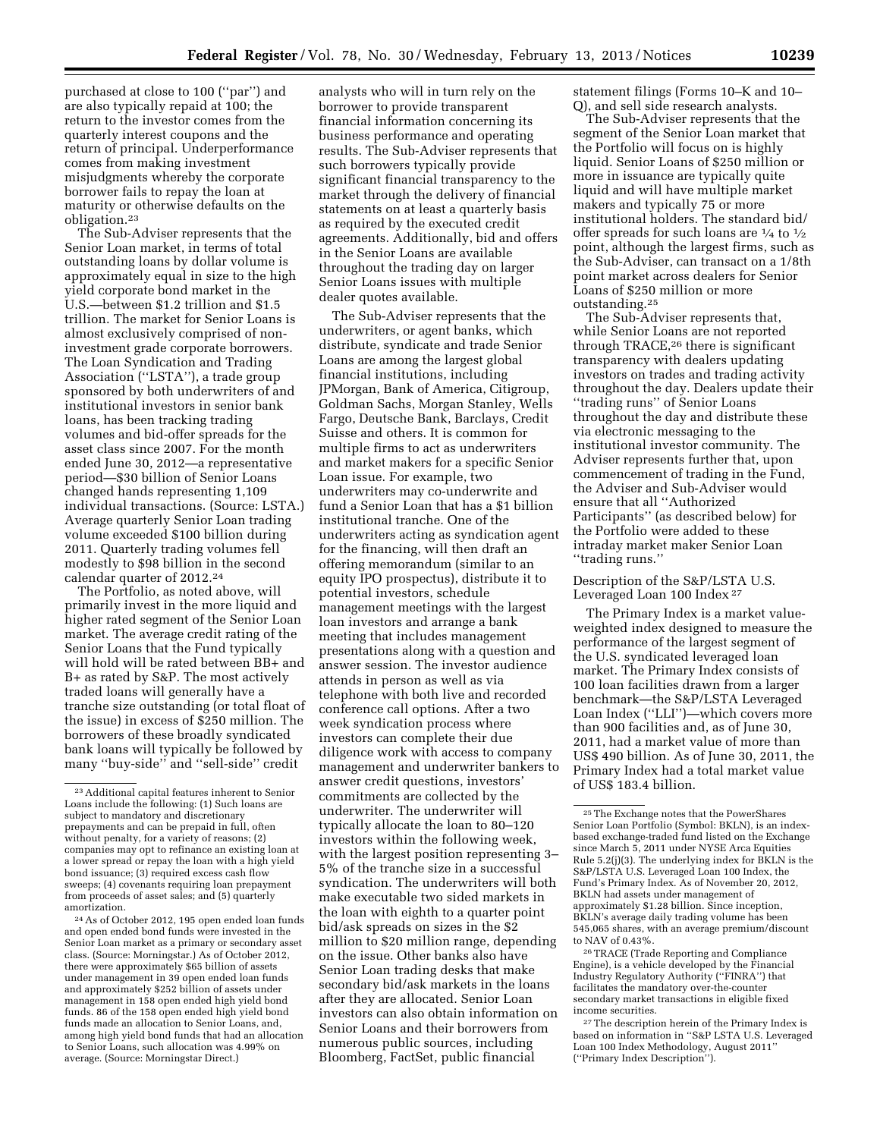purchased at close to 100 (''par'') and are also typically repaid at 100; the return to the investor comes from the quarterly interest coupons and the return of principal. Underperformance comes from making investment misjudgments whereby the corporate borrower fails to repay the loan at maturity or otherwise defaults on the obligation.23

The Sub-Adviser represents that the Senior Loan market, in terms of total outstanding loans by dollar volume is approximately equal in size to the high yield corporate bond market in the U.S.—between \$1.2 trillion and \$1.5 trillion. The market for Senior Loans is almost exclusively comprised of noninvestment grade corporate borrowers. The Loan Syndication and Trading Association (''LSTA''), a trade group sponsored by both underwriters of and institutional investors in senior bank loans, has been tracking trading volumes and bid-offer spreads for the asset class since 2007. For the month ended June 30, 2012—a representative period—\$30 billion of Senior Loans changed hands representing 1,109 individual transactions. (Source: LSTA.) Average quarterly Senior Loan trading volume exceeded \$100 billion during 2011. Quarterly trading volumes fell modestly to \$98 billion in the second calendar quarter of 2012.24

The Portfolio, as noted above, will primarily invest in the more liquid and higher rated segment of the Senior Loan market. The average credit rating of the Senior Loans that the Fund typically will hold will be rated between BB+ and B+ as rated by S&P. The most actively traded loans will generally have a tranche size outstanding (or total float of the issue) in excess of \$250 million. The borrowers of these broadly syndicated bank loans will typically be followed by many ''buy-side'' and ''sell-side'' credit

24As of October 2012, 195 open ended loan funds and open ended bond funds were invested in the Senior Loan market as a primary or secondary asset class. (Source: Morningstar.) As of October 2012, there were approximately \$65 billion of assets under management in 39 open ended loan funds and approximately \$252 billion of assets under management in 158 open ended high yield bond funds. 86 of the 158 open ended high yield bond funds made an allocation to Senior Loans, and, among high yield bond funds that had an allocation to Senior Loans, such allocation was 4.99% on average. (Source: Morningstar Direct.)

analysts who will in turn rely on the borrower to provide transparent financial information concerning its business performance and operating results. The Sub-Adviser represents that such borrowers typically provide significant financial transparency to the market through the delivery of financial statements on at least a quarterly basis as required by the executed credit agreements. Additionally, bid and offers in the Senior Loans are available throughout the trading day on larger Senior Loans issues with multiple dealer quotes available.

The Sub-Adviser represents that the underwriters, or agent banks, which distribute, syndicate and trade Senior Loans are among the largest global financial institutions, including JPMorgan, Bank of America, Citigroup, Goldman Sachs, Morgan Stanley, Wells Fargo, Deutsche Bank, Barclays, Credit Suisse and others. It is common for multiple firms to act as underwriters and market makers for a specific Senior Loan issue. For example, two underwriters may co-underwrite and fund a Senior Loan that has a \$1 billion institutional tranche. One of the underwriters acting as syndication agent for the financing, will then draft an offering memorandum (similar to an equity IPO prospectus), distribute it to potential investors, schedule management meetings with the largest loan investors and arrange a bank meeting that includes management presentations along with a question and answer session. The investor audience attends in person as well as via telephone with both live and recorded conference call options. After a two week syndication process where investors can complete their due diligence work with access to company management and underwriter bankers to answer credit questions, investors' commitments are collected by the underwriter. The underwriter will typically allocate the loan to 80–120 investors within the following week, with the largest position representing 3– 5% of the tranche size in a successful syndication. The underwriters will both make executable two sided markets in the loan with eighth to a quarter point bid/ask spreads on sizes in the \$2 million to \$20 million range, depending on the issue. Other banks also have Senior Loan trading desks that make secondary bid/ask markets in the loans after they are allocated. Senior Loan investors can also obtain information on Senior Loans and their borrowers from numerous public sources, including Bloomberg, FactSet, public financial

statement filings (Forms 10–K and 10– Q), and sell side research analysts.

The Sub-Adviser represents that the segment of the Senior Loan market that the Portfolio will focus on is highly liquid. Senior Loans of \$250 million or more in issuance are typically quite liquid and will have multiple market makers and typically 75 or more institutional holders. The standard bid/ offer spreads for such loans are  $\frac{1}{4}$  to  $\frac{1}{2}$ point, although the largest firms, such as the Sub-Adviser, can transact on a 1/8th point market across dealers for Senior Loans of \$250 million or more outstanding.25

The Sub-Adviser represents that, while Senior Loans are not reported through TRACE,26 there is significant transparency with dealers updating investors on trades and trading activity throughout the day. Dealers update their ''trading runs'' of Senior Loans throughout the day and distribute these via electronic messaging to the institutional investor community. The Adviser represents further that, upon commencement of trading in the Fund, the Adviser and Sub-Adviser would ensure that all ''Authorized Participants'' (as described below) for the Portfolio were added to these intraday market maker Senior Loan ''trading runs.''

Description of the S&P/LSTA U.S. Leveraged Loan 100 Index 27

The Primary Index is a market valueweighted index designed to measure the performance of the largest segment of the U.S. syndicated leveraged loan market. The Primary Index consists of 100 loan facilities drawn from a larger benchmark—the S&P/LSTA Leveraged Loan Index (''LLI'')—which covers more than 900 facilities and, as of June 30, 2011, had a market value of more than US\$ 490 billion. As of June 30, 2011, the Primary Index had a total market value of US\$ 183.4 billion.

26TRACE (Trade Reporting and Compliance Engine), is a vehicle developed by the Financial Industry Regulatory Authority (''FINRA'') that facilitates the mandatory over-the-counter secondary market transactions in eligible fixed income securities.

27The description herein of the Primary Index is based on information in ''S&P LSTA U.S. Leveraged Loan 100 Index Methodology, August 2011'' (''Primary Index Description'').

<sup>23</sup>Additional capital features inherent to Senior Loans include the following: (1) Such loans are subject to mandatory and discretionary prepayments and can be prepaid in full, often without penalty, for a variety of reasons; (2) companies may opt to refinance an existing loan at a lower spread or repay the loan with a high yield bond issuance; (3) required excess cash flow sweeps; (4) covenants requiring loan prepayment from proceeds of asset sales; and (5) quarterly amortization.

<sup>25</sup>The Exchange notes that the PowerShares Senior Loan Portfolio (Symbol: BKLN), is an indexbased exchange-traded fund listed on the Exchange since March 5, 2011 under NYSE Arca Equities Rule 5.2(j)(3). The underlying index for BKLN is the S&P/LSTA U.S. Leveraged Loan 100 Index, the Fund's Primary Index. As of November 20, 2012, BKLN had assets under management of approximately \$1.28 billion. Since inception, BKLN's average daily trading volume has been 545,065 shares, with an average premium/discount to NAV of 0.43%.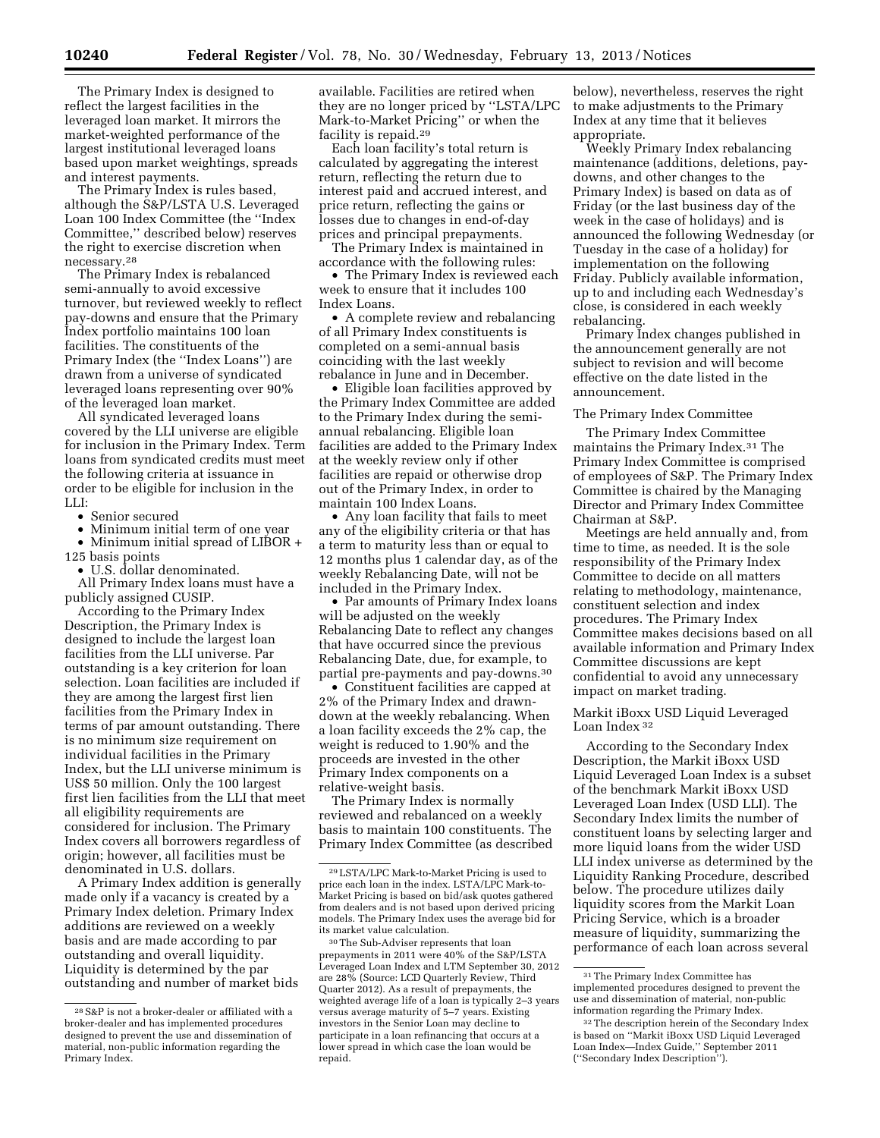The Primary Index is designed to reflect the largest facilities in the leveraged loan market. It mirrors the market-weighted performance of the largest institutional leveraged loans based upon market weightings, spreads and interest payments.

The Primary Index is rules based, although the S&P/LSTA U.S. Leveraged Loan 100 Index Committee (the ''Index Committee,'' described below) reserves the right to exercise discretion when necessary.28

The Primary Index is rebalanced semi-annually to avoid excessive turnover, but reviewed weekly to reflect pay-downs and ensure that the Primary Index portfolio maintains 100 loan facilities. The constituents of the Primary Index (the ''Index Loans'') are drawn from a universe of syndicated leveraged loans representing over 90% of the leveraged loan market.

All syndicated leveraged loans covered by the LLI universe are eligible for inclusion in the Primary Index. Term loans from syndicated credits must meet the following criteria at issuance in order to be eligible for inclusion in the LLI:

• Senior secured

• Minimum initial term of one year

• Minimum initial spread of LIBOR + 125 basis points

• U.S. dollar denominated.

All Primary Index loans must have a publicly assigned CUSIP.

According to the Primary Index Description, the Primary Index is designed to include the largest loan facilities from the LLI universe. Par outstanding is a key criterion for loan selection. Loan facilities are included if they are among the largest first lien facilities from the Primary Index in terms of par amount outstanding. There is no minimum size requirement on individual facilities in the Primary Index, but the LLI universe minimum is US\$ 50 million. Only the 100 largest first lien facilities from the LLI that meet all eligibility requirements are considered for inclusion. The Primary Index covers all borrowers regardless of origin; however, all facilities must be denominated in U.S. dollars.

A Primary Index addition is generally made only if a vacancy is created by a Primary Index deletion. Primary Index additions are reviewed on a weekly basis and are made according to par outstanding and overall liquidity. Liquidity is determined by the par outstanding and number of market bids

available. Facilities are retired when they are no longer priced by ''LSTA/LPC Mark-to-Market Pricing'' or when the facility is repaid.29

Each loan facility's total return is calculated by aggregating the interest return, reflecting the return due to interest paid and accrued interest, and price return, reflecting the gains or losses due to changes in end-of-day prices and principal prepayments.

The Primary Index is maintained in accordance with the following rules:

• The Primary Index is reviewed each week to ensure that it includes 100 Index Loans.

• A complete review and rebalancing of all Primary Index constituents is completed on a semi-annual basis coinciding with the last weekly rebalance in June and in December.

• Eligible loan facilities approved by the Primary Index Committee are added to the Primary Index during the semiannual rebalancing. Eligible loan facilities are added to the Primary Index at the weekly review only if other facilities are repaid or otherwise drop out of the Primary Index, in order to maintain 100 Index Loans.

• Any loan facility that fails to meet any of the eligibility criteria or that has a term to maturity less than or equal to 12 months plus 1 calendar day, as of the weekly Rebalancing Date, will not be included in the Primary Index.

• Par amounts of Primary Index loans will be adjusted on the weekly Rebalancing Date to reflect any changes that have occurred since the previous Rebalancing Date, due, for example, to partial pre-payments and pay-downs.30

• Constituent facilities are capped at 2% of the Primary Index and drawndown at the weekly rebalancing. When a loan facility exceeds the 2% cap, the weight is reduced to 1.90% and the proceeds are invested in the other Primary Index components on a relative-weight basis.

The Primary Index is normally reviewed and rebalanced on a weekly basis to maintain 100 constituents. The Primary Index Committee (as described

below), nevertheless, reserves the right to make adjustments to the Primary Index at any time that it believes appropriate.

Weekly Primary Index rebalancing maintenance (additions, deletions, paydowns, and other changes to the Primary Index) is based on data as of Friday (or the last business day of the week in the case of holidays) and is announced the following Wednesday (or Tuesday in the case of a holiday) for implementation on the following Friday. Publicly available information, up to and including each Wednesday's close, is considered in each weekly rebalancing.

Primary Index changes published in the announcement generally are not subject to revision and will become effective on the date listed in the announcement.

#### The Primary Index Committee

The Primary Index Committee maintains the Primary Index.31 The Primary Index Committee is comprised of employees of S&P. The Primary Index Committee is chaired by the Managing Director and Primary Index Committee Chairman at S&P.

Meetings are held annually and, from time to time, as needed. It is the sole responsibility of the Primary Index Committee to decide on all matters relating to methodology, maintenance, constituent selection and index procedures. The Primary Index Committee makes decisions based on all available information and Primary Index Committee discussions are kept confidential to avoid any unnecessary impact on market trading.

Markit iBoxx USD Liquid Leveraged Loan Index 32

According to the Secondary Index Description, the Markit iBoxx USD Liquid Leveraged Loan Index is a subset of the benchmark Markit iBoxx USD Leveraged Loan Index (USD LLI). The Secondary Index limits the number of constituent loans by selecting larger and more liquid loans from the wider USD LLI index universe as determined by the Liquidity Ranking Procedure, described below. The procedure utilizes daily liquidity scores from the Markit Loan Pricing Service, which is a broader measure of liquidity, summarizing the performance of each loan across several

 $^{28}\rm{S\&P}$  is not a broker-dealer or affiliated with a broker-dealer and has implemented procedures designed to prevent the use and dissemination of material, non-public information regarding the Primary Index.

<sup>29</sup>LSTA/LPC Mark-to-Market Pricing is used to price each loan in the index. LSTA/LPC Mark-to-Market Pricing is based on bid/ask quotes gathered from dealers and is not based upon derived pricing models. The Primary Index uses the average bid for its market value calculation.

<sup>30</sup>The Sub-Adviser represents that loan prepayments in 2011 were 40% of the S&P/LSTA Leveraged Loan Index and LTM September 30, 2012 are 28% (Source: LCD Quarterly Review, Third Quarter 2012). As a result of prepayments, the weighted average life of a loan is typically 2–3 years versus average maturity of 5–7 years. Existing investors in the Senior Loan may decline to participate in a loan refinancing that occurs at a lower spread in which case the loan would be repaid.

<sup>31</sup>The Primary Index Committee has implemented procedures designed to prevent the use and dissemination of material, non-public information regarding the Primary Index.

<sup>32</sup>The description herein of the Secondary Index is based on ''Markit iBoxx USD Liquid Leveraged Loan Index—Index Guide,'' September 2011 (''Secondary Index Description'').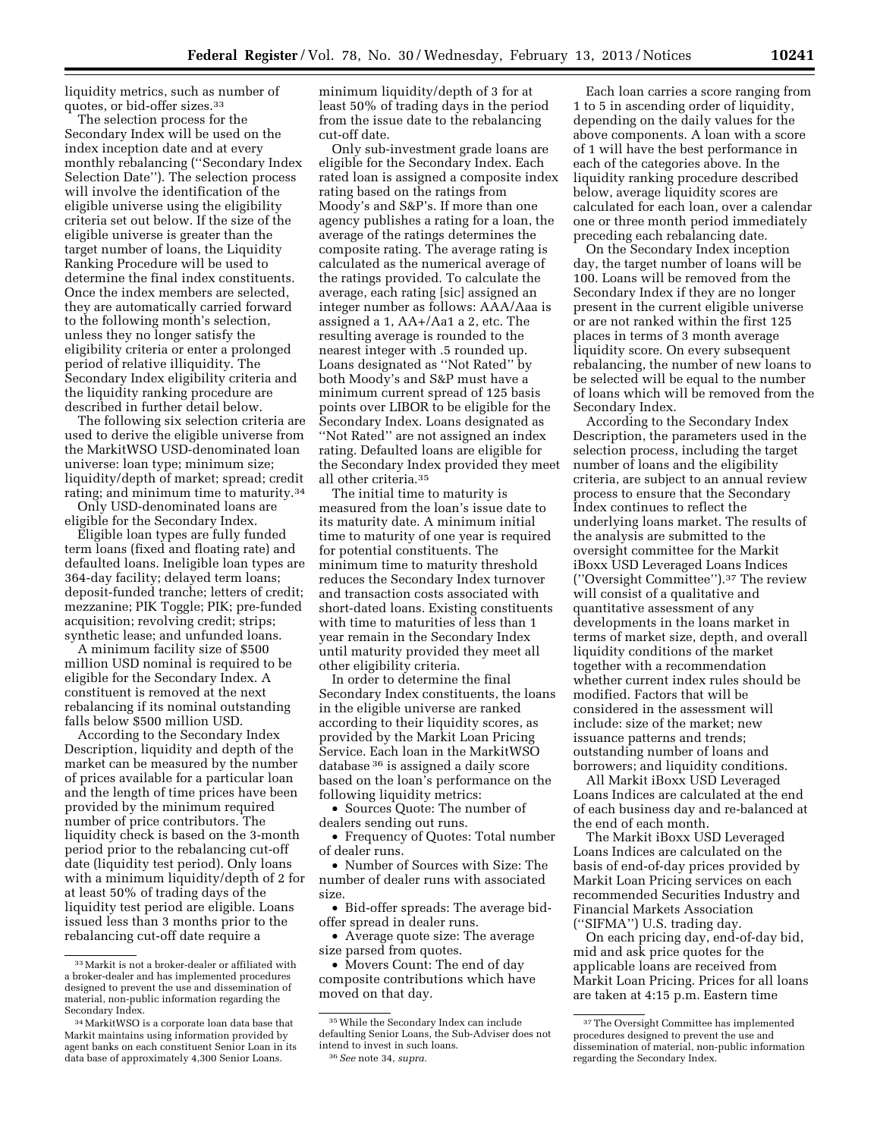liquidity metrics, such as number of quotes, or bid-offer sizes.33

The selection process for the Secondary Index will be used on the index inception date and at every monthly rebalancing (''Secondary Index Selection Date''). The selection process will involve the identification of the eligible universe using the eligibility criteria set out below. If the size of the eligible universe is greater than the target number of loans, the Liquidity Ranking Procedure will be used to determine the final index constituents. Once the index members are selected, they are automatically carried forward to the following month's selection, unless they no longer satisfy the eligibility criteria or enter a prolonged period of relative illiquidity. The Secondary Index eligibility criteria and the liquidity ranking procedure are described in further detail below.

The following six selection criteria are used to derive the eligible universe from the MarkitWSO USD-denominated loan universe: loan type; minimum size; liquidity/depth of market; spread; credit rating; and minimum time to maturity.34

Only USD-denominated loans are eligible for the Secondary Index.

Eligible loan types are fully funded term loans (fixed and floating rate) and defaulted loans. Ineligible loan types are 364-day facility; delayed term loans; deposit-funded tranche; letters of credit; mezzanine; PIK Toggle; PIK; pre-funded acquisition; revolving credit; strips; synthetic lease; and unfunded loans.

A minimum facility size of \$500 million USD nominal is required to be eligible for the Secondary Index. A constituent is removed at the next rebalancing if its nominal outstanding falls below \$500 million USD.

According to the Secondary Index Description, liquidity and depth of the market can be measured by the number of prices available for a particular loan and the length of time prices have been provided by the minimum required number of price contributors. The liquidity check is based on the 3-month period prior to the rebalancing cut-off date (liquidity test period). Only loans with a minimum liquidity/depth of 2 for at least 50% of trading days of the liquidity test period are eligible. Loans issued less than 3 months prior to the rebalancing cut-off date require a

minimum liquidity/depth of 3 for at least 50% of trading days in the period from the issue date to the rebalancing cut-off date.

Only sub-investment grade loans are eligible for the Secondary Index. Each rated loan is assigned a composite index rating based on the ratings from Moody's and S&P's. If more than one agency publishes a rating for a loan, the average of the ratings determines the composite rating. The average rating is calculated as the numerical average of the ratings provided. To calculate the average, each rating [sic] assigned an integer number as follows: AAA/Aaa is assigned a 1, AA+/Aa1 a 2, etc. The resulting average is rounded to the nearest integer with .5 rounded up. Loans designated as ''Not Rated'' by both Moody's and S&P must have a minimum current spread of 125 basis points over LIBOR to be eligible for the Secondary Index. Loans designated as ''Not Rated'' are not assigned an index rating. Defaulted loans are eligible for the Secondary Index provided they meet all other criteria.35

The initial time to maturity is measured from the loan's issue date to its maturity date. A minimum initial time to maturity of one year is required for potential constituents. The minimum time to maturity threshold reduces the Secondary Index turnover and transaction costs associated with short-dated loans. Existing constituents with time to maturities of less than 1 year remain in the Secondary Index until maturity provided they meet all other eligibility criteria.

In order to determine the final Secondary Index constituents, the loans in the eligible universe are ranked according to their liquidity scores, as provided by the Markit Loan Pricing Service. Each loan in the MarkitWSO database 36 is assigned a daily score based on the loan's performance on the following liquidity metrics:

• Sources Quote: The number of dealers sending out runs.

• Frequency of Quotes: Total number of dealer runs.

• Number of Sources with Size: The number of dealer runs with associated size.

• Bid-offer spreads: The average bidoffer spread in dealer runs.

• Average quote size: The average size parsed from quotes.

• Movers Count: The end of day composite contributions which have moved on that day.

Each loan carries a score ranging from 1 to 5 in ascending order of liquidity, depending on the daily values for the above components. A loan with a score of 1 will have the best performance in each of the categories above. In the liquidity ranking procedure described below, average liquidity scores are calculated for each loan, over a calendar one or three month period immediately preceding each rebalancing date.

On the Secondary Index inception day, the target number of loans will be 100. Loans will be removed from the Secondary Index if they are no longer present in the current eligible universe or are not ranked within the first 125 places in terms of 3 month average liquidity score. On every subsequent rebalancing, the number of new loans to be selected will be equal to the number of loans which will be removed from the Secondary Index.

According to the Secondary Index Description, the parameters used in the selection process, including the target number of loans and the eligibility criteria, are subject to an annual review process to ensure that the Secondary Index continues to reflect the underlying loans market. The results of the analysis are submitted to the oversight committee for the Markit iBoxx USD Leveraged Loans Indices (''Oversight Committee'').37 The review will consist of a qualitative and quantitative assessment of any developments in the loans market in terms of market size, depth, and overall liquidity conditions of the market together with a recommendation whether current index rules should be modified. Factors that will be considered in the assessment will include: size of the market; new issuance patterns and trends; outstanding number of loans and borrowers; and liquidity conditions.

All Markit iBoxx USD Leveraged Loans Indices are calculated at the end of each business day and re-balanced at the end of each month.

The Markit iBoxx USD Leveraged Loans Indices are calculated on the basis of end-of-day prices provided by Markit Loan Pricing services on each recommended Securities Industry and Financial Markets Association (''SIFMA'') U.S. trading day.

On each pricing day, end-of-day bid, mid and ask price quotes for the applicable loans are received from Markit Loan Pricing. Prices for all loans are taken at 4:15 p.m. Eastern time

<sup>33</sup>Markit is not a broker-dealer or affiliated with a broker-dealer and has implemented procedures designed to prevent the use and dissemination of material, non-public information regarding the Secondary Index.

<sup>34</sup>MarkitWSO is a corporate loan data base that Markit maintains using information provided by agent banks on each constituent Senior Loan in its data base of approximately 4,300 Senior Loans.

<sup>35</sup>While the Secondary Index can include defaulting Senior Loans, the Sub-Adviser does not intend to invest in such loans. 36*See* note 34, *supra.* 

<sup>37</sup>The Oversight Committee has implemented procedures designed to prevent the use and dissemination of material, non-public information regarding the Secondary Index.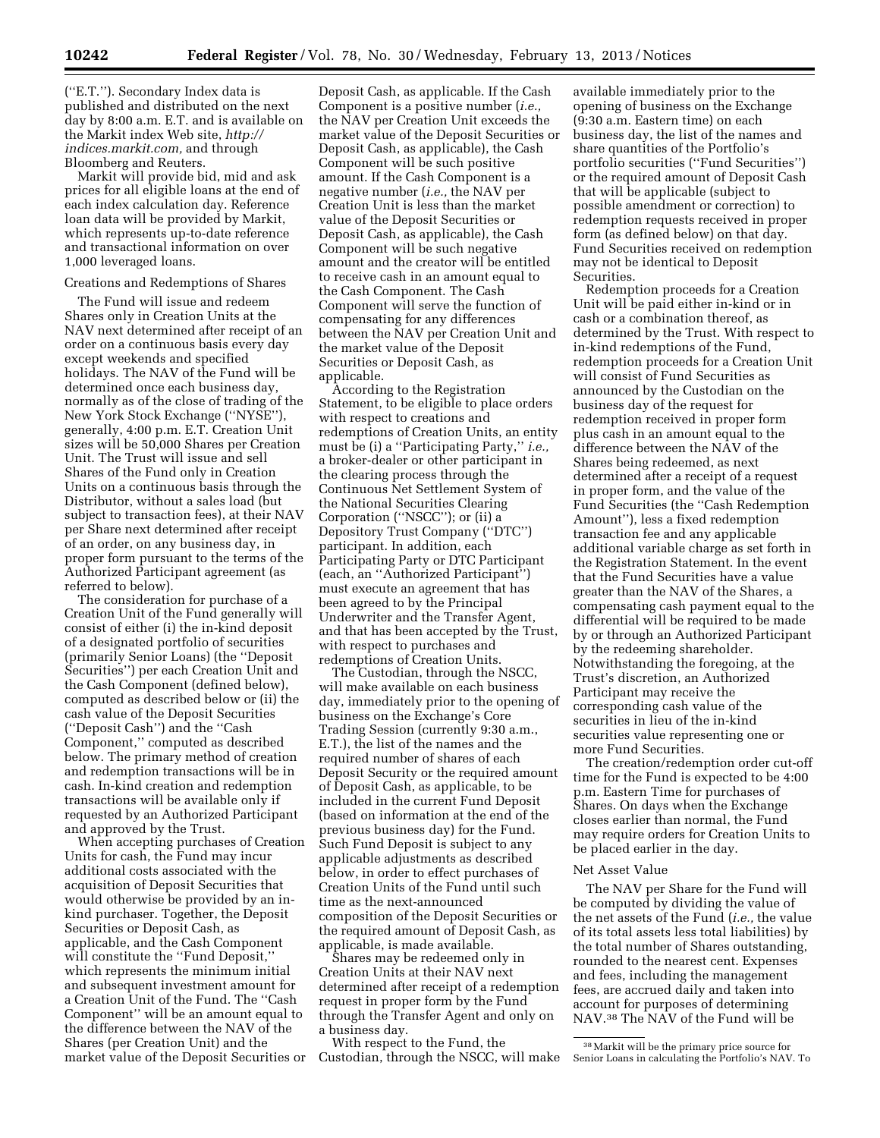(''E.T.''). Secondary Index data is published and distributed on the next day by 8:00 a.m. E.T. and is available on the Markit index Web site, *[http://](http://indices.markit.com) [indices.markit.com,](http://indices.markit.com)* and through Bloomberg and Reuters.

Markit will provide bid, mid and ask prices for all eligible loans at the end of each index calculation day. Reference loan data will be provided by Markit, which represents up-to-date reference and transactional information on over 1,000 leveraged loans.

## Creations and Redemptions of Shares

The Fund will issue and redeem Shares only in Creation Units at the NAV next determined after receipt of an order on a continuous basis every day except weekends and specified holidays. The NAV of the Fund will be determined once each business day, normally as of the close of trading of the New York Stock Exchange (''NYSE''), generally, 4:00 p.m. E.T. Creation Unit sizes will be 50,000 Shares per Creation Unit. The Trust will issue and sell Shares of the Fund only in Creation Units on a continuous basis through the Distributor, without a sales load (but subject to transaction fees), at their NAV per Share next determined after receipt of an order, on any business day, in proper form pursuant to the terms of the Authorized Participant agreement (as referred to below).

The consideration for purchase of a Creation Unit of the Fund generally will consist of either (i) the in-kind deposit of a designated portfolio of securities (primarily Senior Loans) (the ''Deposit Securities'') per each Creation Unit and the Cash Component (defined below), computed as described below or (ii) the cash value of the Deposit Securities (''Deposit Cash'') and the ''Cash Component,'' computed as described below. The primary method of creation and redemption transactions will be in cash. In-kind creation and redemption transactions will be available only if requested by an Authorized Participant and approved by the Trust.

When accepting purchases of Creation Units for cash, the Fund may incur additional costs associated with the acquisition of Deposit Securities that would otherwise be provided by an inkind purchaser. Together, the Deposit Securities or Deposit Cash, as applicable, and the Cash Component will constitute the ''Fund Deposit,'' which represents the minimum initial and subsequent investment amount for a Creation Unit of the Fund. The ''Cash Component'' will be an amount equal to the difference between the NAV of the Shares (per Creation Unit) and the market value of the Deposit Securities or

Deposit Cash, as applicable. If the Cash Component is a positive number (*i.e.,*  the NAV per Creation Unit exceeds the market value of the Deposit Securities or Deposit Cash, as applicable), the Cash Component will be such positive amount. If the Cash Component is a negative number (*i.e.,* the NAV per Creation Unit is less than the market value of the Deposit Securities or Deposit Cash, as applicable), the Cash Component will be such negative amount and the creator will be entitled to receive cash in an amount equal to the Cash Component. The Cash Component will serve the function of compensating for any differences between the NAV per Creation Unit and the market value of the Deposit Securities or Deposit Cash, as applicable.

According to the Registration Statement, to be eligible to place orders with respect to creations and redemptions of Creation Units, an entity must be (i) a ''Participating Party,'' *i.e.,*  a broker-dealer or other participant in the clearing process through the Continuous Net Settlement System of the National Securities Clearing Corporation (''NSCC''); or (ii) a Depository Trust Company (''DTC'') participant. In addition, each Participating Party or DTC Participant (each, an ''Authorized Participant'') must execute an agreement that has been agreed to by the Principal Underwriter and the Transfer Agent, and that has been accepted by the Trust, with respect to purchases and redemptions of Creation Units.

The Custodian, through the NSCC, will make available on each business day, immediately prior to the opening of business on the Exchange's Core Trading Session (currently 9:30 a.m., E.T.), the list of the names and the required number of shares of each Deposit Security or the required amount of Deposit Cash, as applicable, to be included in the current Fund Deposit (based on information at the end of the previous business day) for the Fund. Such Fund Deposit is subject to any applicable adjustments as described below, in order to effect purchases of Creation Units of the Fund until such time as the next-announced composition of the Deposit Securities or the required amount of Deposit Cash, as applicable, is made available.

Shares may be redeemed only in Creation Units at their NAV next determined after receipt of a redemption request in proper form by the Fund through the Transfer Agent and only on a business day.

With respect to the Fund, the Custodian, through the NSCC, will make

available immediately prior to the opening of business on the Exchange (9:30 a.m. Eastern time) on each business day, the list of the names and share quantities of the Portfolio's portfolio securities (''Fund Securities'') or the required amount of Deposit Cash that will be applicable (subject to possible amendment or correction) to redemption requests received in proper form (as defined below) on that day. Fund Securities received on redemption may not be identical to Deposit Securities.

Redemption proceeds for a Creation Unit will be paid either in-kind or in cash or a combination thereof, as determined by the Trust. With respect to in-kind redemptions of the Fund, redemption proceeds for a Creation Unit will consist of Fund Securities as announced by the Custodian on the business day of the request for redemption received in proper form plus cash in an amount equal to the difference between the NAV of the Shares being redeemed, as next determined after a receipt of a request in proper form, and the value of the Fund Securities (the ''Cash Redemption Amount''), less a fixed redemption transaction fee and any applicable additional variable charge as set forth in the Registration Statement. In the event that the Fund Securities have a value greater than the NAV of the Shares, a compensating cash payment equal to the differential will be required to be made by or through an Authorized Participant by the redeeming shareholder. Notwithstanding the foregoing, at the Trust's discretion, an Authorized Participant may receive the corresponding cash value of the securities in lieu of the in-kind securities value representing one or more Fund Securities.

The creation/redemption order cut-off time for the Fund is expected to be 4:00 p.m. Eastern Time for purchases of Shares. On days when the Exchange closes earlier than normal, the Fund may require orders for Creation Units to be placed earlier in the day.

### Net Asset Value

The NAV per Share for the Fund will be computed by dividing the value of the net assets of the Fund (*i.e.,* the value of its total assets less total liabilities) by the total number of Shares outstanding, rounded to the nearest cent. Expenses and fees, including the management fees, are accrued daily and taken into account for purposes of determining NAV.<sup>38</sup> The NAV of the Fund will be

<sup>38</sup>Markit will be the primary price source for Senior Loans in calculating the Portfolio's NAV. To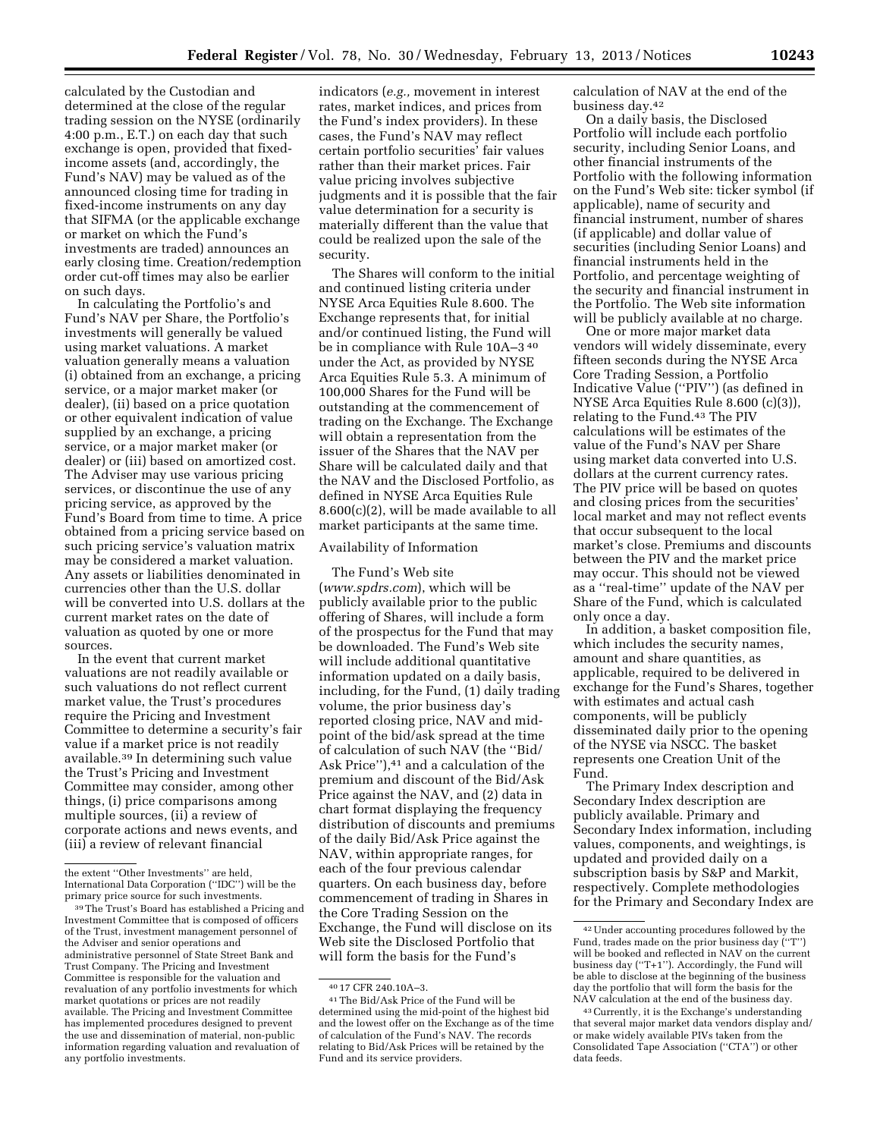calculated by the Custodian and determined at the close of the regular trading session on the NYSE (ordinarily 4:00 p.m., E.T.) on each day that such exchange is open, provided that fixedincome assets (and, accordingly, the Fund's NAV) may be valued as of the announced closing time for trading in fixed-income instruments on any day that SIFMA (or the applicable exchange or market on which the Fund's investments are traded) announces an early closing time. Creation/redemption order cut-off times may also be earlier on such days.

In calculating the Portfolio's and Fund's NAV per Share, the Portfolio's investments will generally be valued using market valuations. A market valuation generally means a valuation (i) obtained from an exchange, a pricing service, or a major market maker (or dealer), (ii) based on a price quotation or other equivalent indication of value supplied by an exchange, a pricing service, or a major market maker (or dealer) or (iii) based on amortized cost. The Adviser may use various pricing services, or discontinue the use of any pricing service, as approved by the Fund's Board from time to time. A price obtained from a pricing service based on such pricing service's valuation matrix may be considered a market valuation. Any assets or liabilities denominated in currencies other than the U.S. dollar will be converted into U.S. dollars at the current market rates on the date of valuation as quoted by one or more sources.

In the event that current market valuations are not readily available or such valuations do not reflect current market value, the Trust's procedures require the Pricing and Investment Committee to determine a security's fair value if a market price is not readily available.39 In determining such value the Trust's Pricing and Investment Committee may consider, among other things, (i) price comparisons among multiple sources, (ii) a review of corporate actions and news events, and (iii) a review of relevant financial

indicators (*e.g.,* movement in interest rates, market indices, and prices from the Fund's index providers). In these cases, the Fund's NAV may reflect certain portfolio securities' fair values rather than their market prices. Fair value pricing involves subjective judgments and it is possible that the fair value determination for a security is materially different than the value that could be realized upon the sale of the security.

The Shares will conform to the initial and continued listing criteria under NYSE Arca Equities Rule 8.600. The Exchange represents that, for initial and/or continued listing, the Fund will be in compliance with Rule 10A–3 40 under the Act, as provided by NYSE Arca Equities Rule 5.3. A minimum of 100,000 Shares for the Fund will be outstanding at the commencement of trading on the Exchange. The Exchange will obtain a representation from the issuer of the Shares that the NAV per Share will be calculated daily and that the NAV and the Disclosed Portfolio, as defined in NYSE Arca Equities Rule 8.600(c)(2), will be made available to all market participants at the same time.

Availability of Information

The Fund's Web site (*[www.spdrs.com](http://www.spdrs.com)*), which will be publicly available prior to the public offering of Shares, will include a form of the prospectus for the Fund that may be downloaded. The Fund's Web site will include additional quantitative information updated on a daily basis, including, for the Fund, (1) daily trading volume, the prior business day's reported closing price, NAV and midpoint of the bid/ask spread at the time of calculation of such NAV (the ''Bid/ Ask Price"),<sup>41</sup> and a calculation of the premium and discount of the Bid/Ask Price against the NAV, and (2) data in chart format displaying the frequency distribution of discounts and premiums of the daily Bid/Ask Price against the NAV, within appropriate ranges, for each of the four previous calendar quarters. On each business day, before commencement of trading in Shares in the Core Trading Session on the Exchange, the Fund will disclose on its Web site the Disclosed Portfolio that will form the basis for the Fund's

calculation of NAV at the end of the business day.42

On a daily basis, the Disclosed Portfolio will include each portfolio security, including Senior Loans, and other financial instruments of the Portfolio with the following information on the Fund's Web site: ticker symbol (if applicable), name of security and financial instrument, number of shares (if applicable) and dollar value of securities (including Senior Loans) and financial instruments held in the Portfolio, and percentage weighting of the security and financial instrument in the Portfolio. The Web site information will be publicly available at no charge.

One or more major market data vendors will widely disseminate, every fifteen seconds during the NYSE Arca Core Trading Session, a Portfolio Indicative Value (''PIV'') (as defined in NYSE Arca Equities Rule 8.600 (c)(3)), relating to the Fund.43 The PIV calculations will be estimates of the value of the Fund's NAV per Share using market data converted into U.S. dollars at the current currency rates. The PIV price will be based on quotes and closing prices from the securities' local market and may not reflect events that occur subsequent to the local market's close. Premiums and discounts between the PIV and the market price may occur. This should not be viewed as a ''real-time'' update of the NAV per Share of the Fund, which is calculated only once a day.

In addition, a basket composition file, which includes the security names, amount and share quantities, as applicable, required to be delivered in exchange for the Fund's Shares, together with estimates and actual cash components, will be publicly disseminated daily prior to the opening of the NYSE via NSCC. The basket represents one Creation Unit of the Fund.

The Primary Index description and Secondary Index description are publicly available. Primary and Secondary Index information, including values, components, and weightings, is updated and provided daily on a subscription basis by S&P and Markit, respectively. Complete methodologies for the Primary and Secondary Index are

the extent ''Other Investments'' are held, International Data Corporation (''IDC'') will be the primary price source for such investments.

<sup>39</sup>The Trust's Board has established a Pricing and Investment Committee that is composed of officers of the Trust, investment management personnel of the Adviser and senior operations and administrative personnel of State Street Bank and Trust Company. The Pricing and Investment Committee is responsible for the valuation and revaluation of any portfolio investments for which market quotations or prices are not readily available. The Pricing and Investment Committee has implemented procedures designed to prevent the use and dissemination of material, non-public information regarding valuation and revaluation of any portfolio investments.

<sup>40</sup> 17 CFR 240.10A–3.

<sup>41</sup>The Bid/Ask Price of the Fund will be determined using the mid-point of the highest bid and the lowest offer on the Exchange as of the time of calculation of the Fund's NAV. The records relating to Bid/Ask Prices will be retained by the Fund and its service providers.

<sup>42</sup>Under accounting procedures followed by the Fund, trades made on the prior business day (''T'') will be booked and reflected in NAV on the current business day (''T+1''). Accordingly, the Fund will be able to disclose at the beginning of the business day the portfolio that will form the basis for the NAV calculation at the end of the business day.

<sup>43</sup>Currently, it is the Exchange's understanding that several major market data vendors display and/ or make widely available PIVs taken from the Consolidated Tape Association (''CTA'') or other data feeds.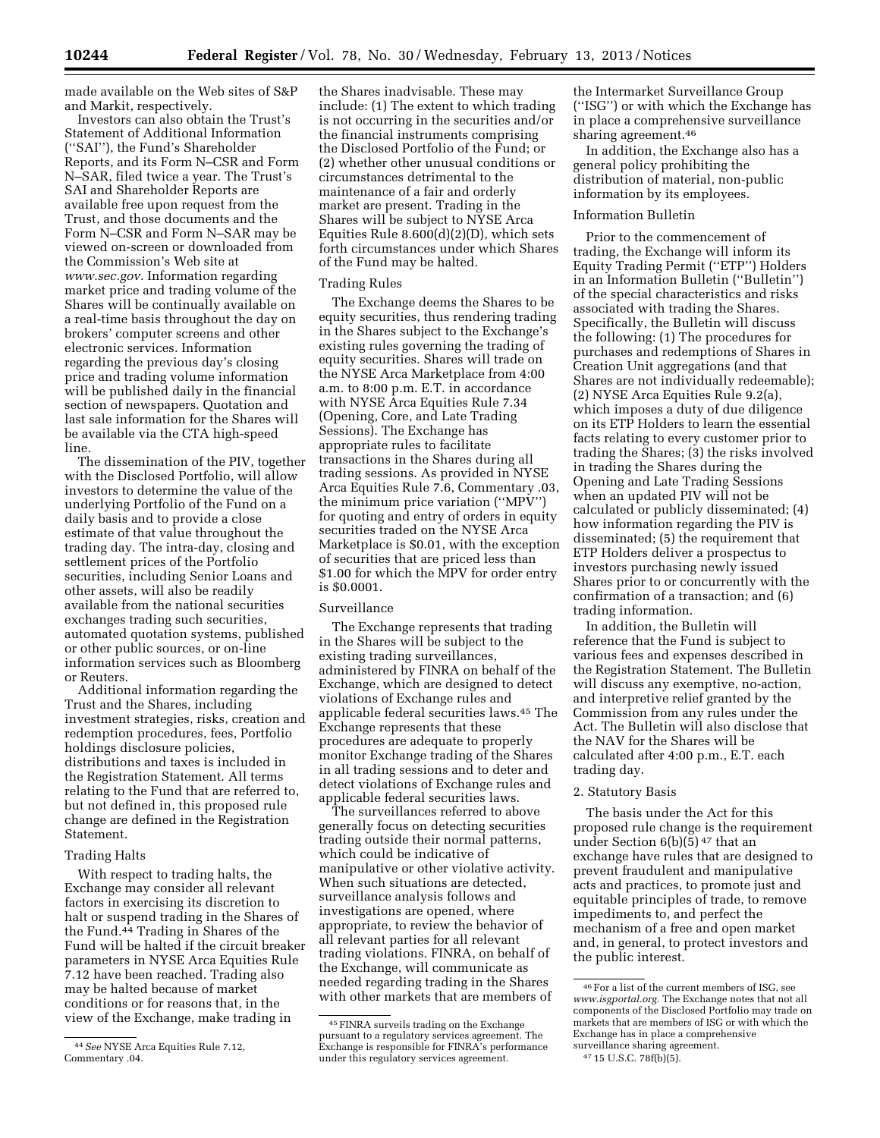made available on the Web sites of S&P and Markit, respectively.

Investors can also obtain the Trust's Statement of Additional Information (''SAI''), the Fund's Shareholder Reports, and its Form N–CSR and Form N–SAR, filed twice a year. The Trust's SAI and Shareholder Reports are available free upon request from the Trust, and those documents and the Form N–CSR and Form N–SAR may be viewed on-screen or downloaded from the Commission's Web site at *[www.sec.gov.](http://www.sec.gov)* Information regarding market price and trading volume of the Shares will be continually available on a real-time basis throughout the day on brokers' computer screens and other electronic services. Information regarding the previous day's closing price and trading volume information will be published daily in the financial section of newspapers. Quotation and last sale information for the Shares will be available via the CTA high-speed line.

The dissemination of the PIV, together with the Disclosed Portfolio, will allow investors to determine the value of the underlying Portfolio of the Fund on a daily basis and to provide a close estimate of that value throughout the trading day. The intra-day, closing and settlement prices of the Portfolio securities, including Senior Loans and other assets, will also be readily available from the national securities exchanges trading such securities, automated quotation systems, published or other public sources, or on-line information services such as Bloomberg or Reuters.

Additional information regarding the Trust and the Shares, including investment strategies, risks, creation and redemption procedures, fees, Portfolio holdings disclosure policies, distributions and taxes is included in the Registration Statement. All terms relating to the Fund that are referred to, but not defined in, this proposed rule change are defined in the Registration Statement.

#### Trading Halts

With respect to trading halts, the Exchange may consider all relevant factors in exercising its discretion to halt or suspend trading in the Shares of the Fund.44 Trading in Shares of the Fund will be halted if the circuit breaker parameters in NYSE Arca Equities Rule 7.12 have been reached. Trading also may be halted because of market conditions or for reasons that, in the view of the Exchange, make trading in

the Shares inadvisable. These may include: (1) The extent to which trading is not occurring in the securities and/or the financial instruments comprising the Disclosed Portfolio of the Fund; or (2) whether other unusual conditions or circumstances detrimental to the maintenance of a fair and orderly market are present. Trading in the Shares will be subject to NYSE Arca Equities Rule 8.600(d)(2)(D), which sets forth circumstances under which Shares of the Fund may be halted.

### Trading Rules

The Exchange deems the Shares to be equity securities, thus rendering trading in the Shares subject to the Exchange's existing rules governing the trading of equity securities. Shares will trade on the NYSE Arca Marketplace from 4:00 a.m. to 8:00 p.m. E.T. in accordance with NYSE Arca Equities Rule 7.34 (Opening, Core, and Late Trading Sessions). The Exchange has appropriate rules to facilitate transactions in the Shares during all trading sessions. As provided in NYSE Arca Equities Rule 7.6, Commentary .03, the minimum price variation (''MPV'') for quoting and entry of orders in equity securities traded on the NYSE Arca Marketplace is \$0.01, with the exception of securities that are priced less than \$1.00 for which the MPV for order entry is \$0.0001.

#### Surveillance

The Exchange represents that trading in the Shares will be subject to the existing trading surveillances, administered by FINRA on behalf of the Exchange, which are designed to detect violations of Exchange rules and applicable federal securities laws.45 The Exchange represents that these procedures are adequate to properly monitor Exchange trading of the Shares in all trading sessions and to deter and detect violations of Exchange rules and applicable federal securities laws.

The surveillances referred to above generally focus on detecting securities trading outside their normal patterns, which could be indicative of manipulative or other violative activity. When such situations are detected, surveillance analysis follows and investigations are opened, where appropriate, to review the behavior of all relevant parties for all relevant trading violations. FINRA, on behalf of the Exchange, will communicate as needed regarding trading in the Shares with other markets that are members of

the Intermarket Surveillance Group (''ISG'') or with which the Exchange has in place a comprehensive surveillance sharing agreement.46

In addition, the Exchange also has a general policy prohibiting the distribution of material, non-public information by its employees.

### Information Bulletin

Prior to the commencement of trading, the Exchange will inform its Equity Trading Permit (''ETP'') Holders in an Information Bulletin (''Bulletin'') of the special characteristics and risks associated with trading the Shares. Specifically, the Bulletin will discuss the following: (1) The procedures for purchases and redemptions of Shares in Creation Unit aggregations (and that Shares are not individually redeemable); (2) NYSE Arca Equities Rule 9.2(a), which imposes a duty of due diligence on its ETP Holders to learn the essential facts relating to every customer prior to trading the Shares; (3) the risks involved in trading the Shares during the Opening and Late Trading Sessions when an updated PIV will not be calculated or publicly disseminated; (4) how information regarding the PIV is disseminated; (5) the requirement that ETP Holders deliver a prospectus to investors purchasing newly issued Shares prior to or concurrently with the confirmation of a transaction; and (6) trading information.

In addition, the Bulletin will reference that the Fund is subject to various fees and expenses described in the Registration Statement. The Bulletin will discuss any exemptive, no-action, and interpretive relief granted by the Commission from any rules under the Act. The Bulletin will also disclose that the NAV for the Shares will be calculated after 4:00 p.m., E.T. each trading day.

### 2. Statutory Basis

The basis under the Act for this proposed rule change is the requirement under Section  $6(b)(5)^{47}$  that an exchange have rules that are designed to prevent fraudulent and manipulative acts and practices, to promote just and equitable principles of trade, to remove impediments to, and perfect the mechanism of a free and open market and, in general, to protect investors and the public interest.

<sup>44</sup>*See* NYSE Arca Equities Rule 7.12, Commentary .04.

<sup>45</sup>FINRA surveils trading on the Exchange pursuant to a regulatory services agreement. The Exchange is responsible for FINRA's performance under this regulatory services agreement.

<sup>46</sup>For a list of the current members of ISG, see *[www.isgportal.org.](http://www.isgportal.org)* The Exchange notes that not all components of the Disclosed Portfolio may trade on markets that are members of ISG or with which the Exchange has in place a comprehensive surveillance sharing agreement.

<sup>47</sup> 15 U.S.C. 78f(b)(5).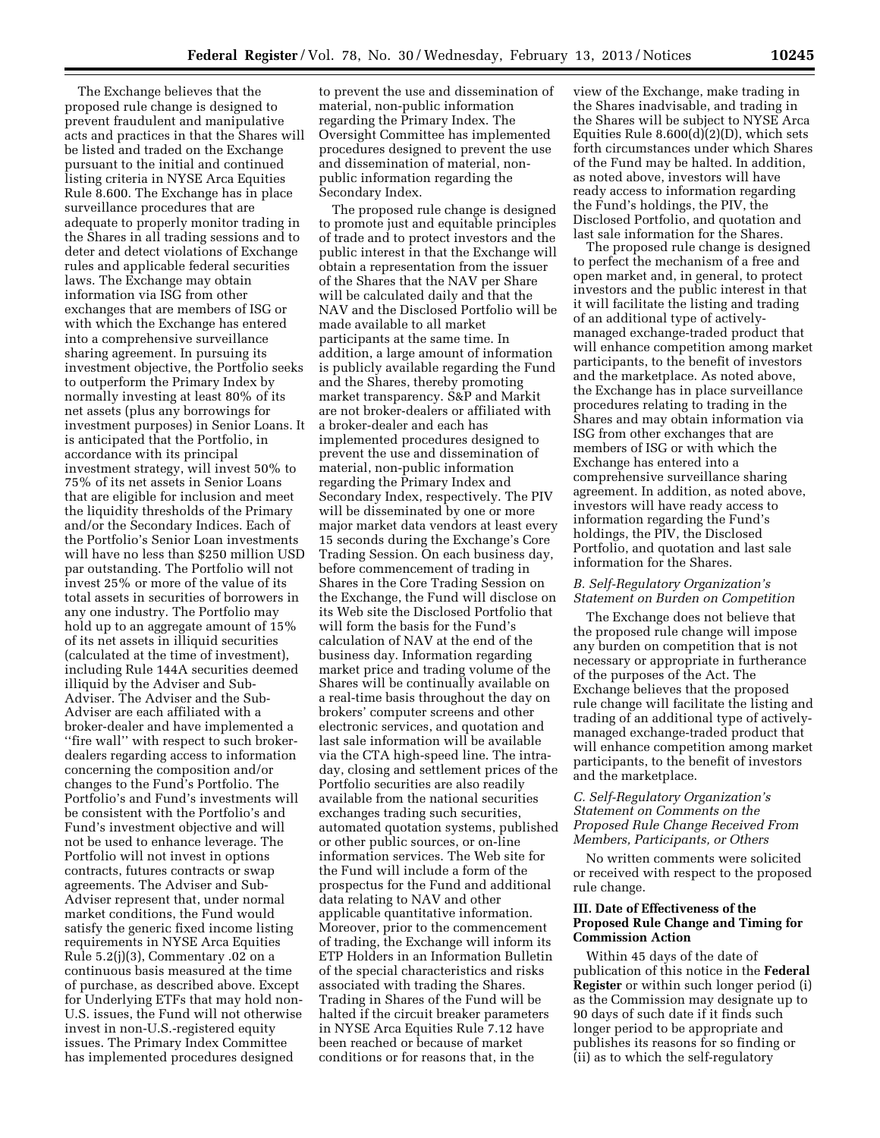The Exchange believes that the proposed rule change is designed to prevent fraudulent and manipulative acts and practices in that the Shares will be listed and traded on the Exchange pursuant to the initial and continued listing criteria in NYSE Arca Equities Rule 8.600. The Exchange has in place surveillance procedures that are adequate to properly monitor trading in the Shares in all trading sessions and to deter and detect violations of Exchange rules and applicable federal securities laws. The Exchange may obtain information via ISG from other exchanges that are members of ISG or with which the Exchange has entered into a comprehensive surveillance sharing agreement. In pursuing its investment objective, the Portfolio seeks to outperform the Primary Index by normally investing at least 80% of its net assets (plus any borrowings for investment purposes) in Senior Loans. It is anticipated that the Portfolio, in accordance with its principal investment strategy, will invest 50% to 75% of its net assets in Senior Loans that are eligible for inclusion and meet the liquidity thresholds of the Primary and/or the Secondary Indices. Each of the Portfolio's Senior Loan investments will have no less than \$250 million USD par outstanding. The Portfolio will not invest 25% or more of the value of its total assets in securities of borrowers in any one industry. The Portfolio may hold up to an aggregate amount of 15% of its net assets in illiquid securities (calculated at the time of investment), including Rule 144A securities deemed illiquid by the Adviser and Sub-Adviser. The Adviser and the Sub-Adviser are each affiliated with a broker-dealer and have implemented a ''fire wall'' with respect to such brokerdealers regarding access to information concerning the composition and/or changes to the Fund's Portfolio. The Portfolio's and Fund's investments will be consistent with the Portfolio's and Fund's investment objective and will not be used to enhance leverage. The Portfolio will not invest in options contracts, futures contracts or swap agreements. The Adviser and Sub-Adviser represent that, under normal market conditions, the Fund would satisfy the generic fixed income listing requirements in NYSE Arca Equities Rule 5.2(j)(3), Commentary .02 on a continuous basis measured at the time of purchase, as described above. Except for Underlying ETFs that may hold non-U.S. issues, the Fund will not otherwise invest in non-U.S.-registered equity issues. The Primary Index Committee has implemented procedures designed

to prevent the use and dissemination of material, non-public information regarding the Primary Index. The Oversight Committee has implemented procedures designed to prevent the use and dissemination of material, nonpublic information regarding the Secondary Index.

The proposed rule change is designed to promote just and equitable principles of trade and to protect investors and the public interest in that the Exchange will obtain a representation from the issuer of the Shares that the NAV per Share will be calculated daily and that the NAV and the Disclosed Portfolio will be made available to all market participants at the same time. In addition, a large amount of information is publicly available regarding the Fund and the Shares, thereby promoting market transparency. S&P and Markit are not broker-dealers or affiliated with a broker-dealer and each has implemented procedures designed to prevent the use and dissemination of material, non-public information regarding the Primary Index and Secondary Index, respectively. The PIV will be disseminated by one or more major market data vendors at least every 15 seconds during the Exchange's Core Trading Session. On each business day, before commencement of trading in Shares in the Core Trading Session on the Exchange, the Fund will disclose on its Web site the Disclosed Portfolio that will form the basis for the Fund's calculation of NAV at the end of the business day. Information regarding market price and trading volume of the Shares will be continually available on a real-time basis throughout the day on brokers' computer screens and other electronic services, and quotation and last sale information will be available via the CTA high-speed line. The intraday, closing and settlement prices of the Portfolio securities are also readily available from the national securities exchanges trading such securities, automated quotation systems, published or other public sources, or on-line information services. The Web site for the Fund will include a form of the prospectus for the Fund and additional data relating to NAV and other applicable quantitative information. Moreover, prior to the commencement of trading, the Exchange will inform its ETP Holders in an Information Bulletin of the special characteristics and risks associated with trading the Shares. Trading in Shares of the Fund will be halted if the circuit breaker parameters in NYSE Arca Equities Rule 7.12 have been reached or because of market conditions or for reasons that, in the

view of the Exchange, make trading in the Shares inadvisable, and trading in the Shares will be subject to NYSE Arca Equities Rule 8.600(d)(2)(D), which sets forth circumstances under which Shares of the Fund may be halted. In addition, as noted above, investors will have ready access to information regarding the Fund's holdings, the PIV, the Disclosed Portfolio, and quotation and last sale information for the Shares.

The proposed rule change is designed to perfect the mechanism of a free and open market and, in general, to protect investors and the public interest in that it will facilitate the listing and trading of an additional type of activelymanaged exchange-traded product that will enhance competition among market participants, to the benefit of investors and the marketplace. As noted above, the Exchange has in place surveillance procedures relating to trading in the Shares and may obtain information via ISG from other exchanges that are members of ISG or with which the Exchange has entered into a comprehensive surveillance sharing agreement. In addition, as noted above, investors will have ready access to information regarding the Fund's holdings, the PIV, the Disclosed Portfolio, and quotation and last sale information for the Shares.

## *B. Self-Regulatory Organization's Statement on Burden on Competition*

The Exchange does not believe that the proposed rule change will impose any burden on competition that is not necessary or appropriate in furtherance of the purposes of the Act. The Exchange believes that the proposed rule change will facilitate the listing and trading of an additional type of activelymanaged exchange-traded product that will enhance competition among market participants, to the benefit of investors and the marketplace.

## *C. Self-Regulatory Organization's Statement on Comments on the Proposed Rule Change Received From Members, Participants, or Others*

No written comments were solicited or received with respect to the proposed rule change.

## **III. Date of Effectiveness of the Proposed Rule Change and Timing for Commission Action**

Within 45 days of the date of publication of this notice in the **Federal Register** or within such longer period (i) as the Commission may designate up to 90 days of such date if it finds such longer period to be appropriate and publishes its reasons for so finding or (ii) as to which the self-regulatory